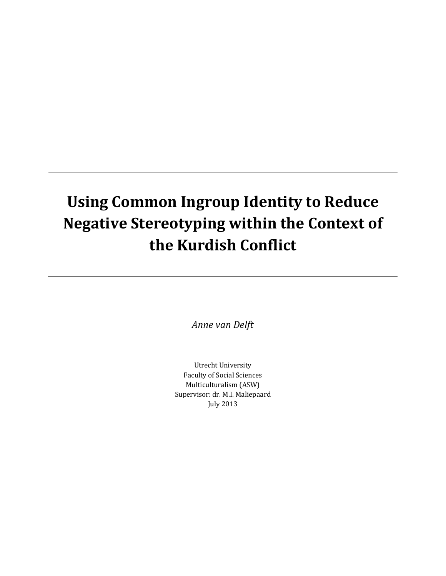# **Using Common Ingroup Identity to Reduce Negative Stereotyping within the Context of the Kurdish Conflict**

*Anne van Delft*

Utrecht University Faculty of Social Sciences Multiculturalism (ASW) Supervisor: dr. M.I. Maliepaard July 2013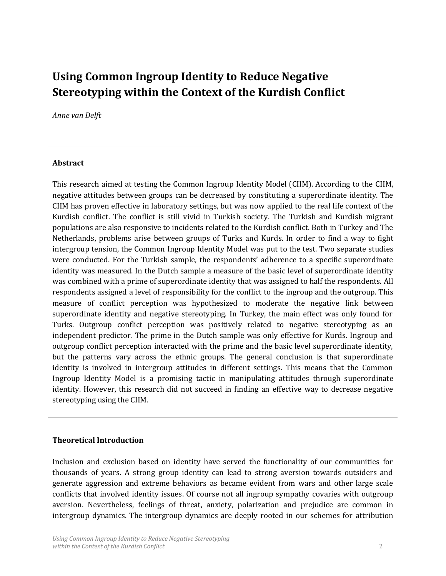# **Using Common Ingroup Identity to Reduce Negative Stereotyping within the Context of the Kurdish Conflict**

#### *Anne van Delft*

#### **Abstract**

This research aimed at testing the Common Ingroup Identity Model (CIIM). According to the CIIM, negative attitudes between groups can be decreased by constituting a superordinate identity. The CIIM has proven effective in laboratory settings, but was now applied to the real life context of the Kurdish conflict. The conflict is still vivid in Turkish society. The Turkish and Kurdish migrant populations are also responsive to incidents related to the Kurdish conflict. Both in Turkey and The Netherlands, problems arise between groups of Turks and Kurds. In order to find a way to fight intergroup tension, the Common Ingroup Identity Model was put to the test. Two separate studies were conducted. For the Turkish sample, the respondents' adherence to a specific superordinate identity was measured. In the Dutch sample a measure of the basic level of superordinate identity was combined with a prime of superordinate identity that was assigned to half the respondents. All respondents assigned a level of responsibility for the conflict to the ingroup and the outgroup. This measure of conflict perception was hypothesized to moderate the negative link between superordinate identity and negative stereotyping. In Turkey, the main effect was only found for Turks. Outgroup conflict perception was positively related to negative stereotyping as an independent predictor. The prime in the Dutch sample was only effective for Kurds. Ingroup and outgroup conflict perception interacted with the prime and the basic level superordinate identity, but the patterns vary across the ethnic groups. The general conclusion is that superordinate identity is involved in intergroup attitudes in different settings. This means that the Common Ingroup Identity Model is a promising tactic in manipulating attitudes through superordinate identity. However, this research did not succeed in finding an effective way to decrease negative stereotyping using the CIIM.

#### **Theoretical Introduction**

Inclusion and exclusion based on identity have served the functionality of our communities for thousands of years. A strong group identity can lead to strong aversion towards outsiders and generate aggression and extreme behaviors as became evident from wars and other large scale conflicts that involved identity issues. Of course not all ingroup sympathy covaries with outgroup aversion. Nevertheless, feelings of threat, anxiety, polarization and prejudice are common in intergroup dynamics. The intergroup dynamics are deeply rooted in our schemes for attribution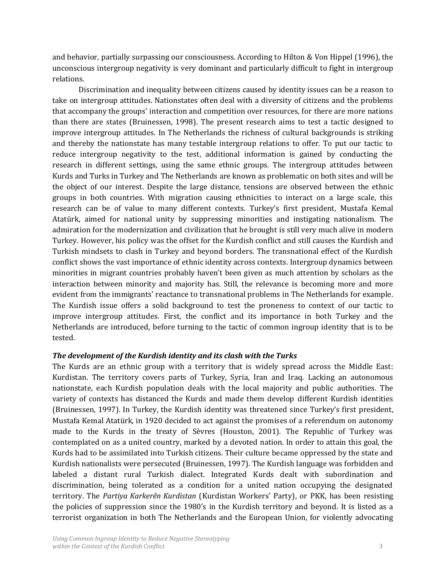and behavior, partially surpassing our consciousness. According to Hilton & Von Hippel (1996), the unconscious intergroup negativity is very dominant and particularly difficult to fight in intergroup relations.

Discrimination and inequality between citizens caused by identity issues can be a reason to take on intergroup attitudes. Nationstates often deal with a diversity of citizens and the problems that accompany the groups' interaction and competition over resources, for there are more nations than there are states (Bruinessen, 1998). The present research aims to test a tactic designed to improve intergroup attitudes. In The Netherlands the richness of cultural backgrounds is striking and thereby the nationstate has many testable intergroup relations to offer. To put our tactic to reduce intergroup negativity to the test, additional information is gained by conducting the research in different settings, using the same ethnic groups. The intergroup attitudes between Kurds and Turks in Turkey and The Netherlands are known as problematic on both sites and will be the object of our interest. Despite the large distance, tensions are observed between the ethnic groups in both countries. With migration causing ethnicities to interact on a large scale, this research can be of value to many different contexts. Turkey's first president, Mustafa Kemal Atatürk, aimed for national unity by suppressing minorities and instigating nationalism. The admiration for the modernization and civilization that he brought is still very much alive in modern Turkey. However, his policy was the offset for the Kurdish conflict and still causes the Kurdish and Turkish mindsets to clash in Turkey and beyond borders. The transnational effect of the Kurdish conflict shows the vast importance of ethnic identity across contexts. Intergroup dynamics between minorities in migrant countries probably haven't been given as much attention by scholars as the interaction between minority and majority has. Still, the relevance is becoming more and more evident from the immigrants' reactance to transnational problems in The Netherlands for example. The Kurdish issue offers a solid background to test the proneness to context of our tactic to improve intergroup attitudes. First, the conflict and its importance in both Turkey and the Netherlands are introduced, before turning to the tactic of common ingroup identity that is to be tested.

#### *The development of the Kurdish identity and its clash with the Turks*

The Kurds are an ethnic group with a territory that is widely spread across the Middle East: Kurdistan. The territory covers parts of Turkey, Syria, Iran and Iraq. Lacking an autonomous nationstate, each Kurdish population deals with the local majority and public authorities. The variety of contexts has distanced the Kurds and made them develop different Kurdish identities (Bruinessen, 1997). In Turkey, the Kurdish identity was threatened since Turkey's first president, Mustafa Kemal Atatürk, in 1920 decided to act against the promises of a referendum on autonomy made to the Kurds in the treaty of Sèvres (Houston, 2001). The Republic of Turkey was contemplated on as a united country, marked by a devoted nation. In order to attain this goal, the Kurds had to be assimilated into Turkish citizens. Their culture became oppressed by the state and Kurdish nationalists were persecuted (Bruinessen, 1997). The Kurdish language was forbidden and labeled a distant rural Turkish dialect. Integrated Kurds dealt with subordination and discrimination, being tolerated as a condition for a united nation occupying the designated territory. The *Partiya Karkerên Kurdistan* (Kurdistan Workers' Party), or PKK, has been resisting the policies of suppression since the 1980's in the Kurdish territory and beyond. It is listed as a terrorist organization in both The Netherlands and the European Union, for violently advocating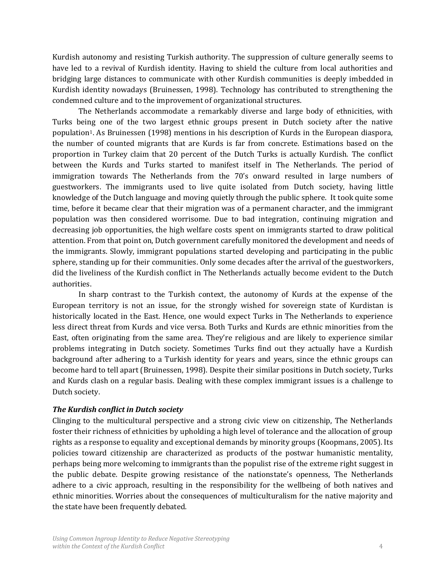Kurdish autonomy and resisting Turkish authority. The suppression of culture generally seems to have led to a revival of Kurdish identity. Having to shield the culture from local authorities and bridging large distances to communicate with other Kurdish communities is deeply imbedded in Kurdish identity nowadays (Bruinessen, 1998). Technology has contributed to strengthening the condemned culture and to the improvement of organizational structures.

The Netherlands accommodate a remarkably diverse and large body of ethnicities, with Turks being one of the two largest ethnic groups present in Dutch society after the native population1. As Bruinessen (1998) mentions in his description of Kurds in the European diaspora, the number of counted migrants that are Kurds is far from concrete. Estimations based on the proportion in Turkey claim that 20 percent of the Dutch Turks is actually Kurdish. The conflict between the Kurds and Turks started to manifest itself in The Netherlands. The period of immigration towards The Netherlands from the 70's onward resulted in large numbers of guestworkers. The immigrants used to live quite isolated from Dutch society, having little knowledge of the Dutch language and moving quietly through the public sphere. It took quite some time, before it became clear that their migration was of a permanent character, and the immigrant population was then considered worrisome. Due to bad integration, continuing migration and decreasing job opportunities, the high welfare costs spent on immigrants started to draw political attention. From that point on, Dutch government carefully monitored the development and needs of the immigrants. Slowly, immigrant populations started developing and participating in the public sphere, standing up for their communities. Only some decades after the arrival of the guestworkers, did the liveliness of the Kurdish conflict in The Netherlands actually become evident to the Dutch authorities.

In sharp contrast to the Turkish context, the autonomy of Kurds at the expense of the European territory is not an issue, for the strongly wished for sovereign state of Kurdistan is historically located in the East. Hence, one would expect Turks in The Netherlands to experience less direct threat from Kurds and vice versa. Both Turks and Kurds are ethnic minorities from the East, often originating from the same area. They're religious and are likely to experience similar problems integrating in Dutch society. Sometimes Turks find out they actually have a Kurdish background after adhering to a Turkish identity for years and years, since the ethnic groups can become hard to tell apart (Bruinessen, 1998). Despite their similar positions in Dutch society, Turks and Kurds clash on a regular basis. Dealing with these complex immigrant issues is a challenge to Dutch society.

#### *The Kurdish conflict in Dutch society*

Clinging to the multicultural perspective and a strong civic view on citizenship, The Netherlands foster their richness of ethnicities by upholding a high level of tolerance and the allocation of group rights as a response to equality and exceptional demands by minority groups (Koopmans, 2005). Its policies toward citizenship are characterized as products of the postwar humanistic mentality, perhaps being more welcoming to immigrants than the populist rise of the extreme right suggest in the public debate. Despite growing resistance of the nationstate's openness, The Netherlands adhere to a civic approach, resulting in the responsibility for the wellbeing of both natives and ethnic minorities. Worries about the consequences of multiculturalism for the native majority and the state have been frequently debated.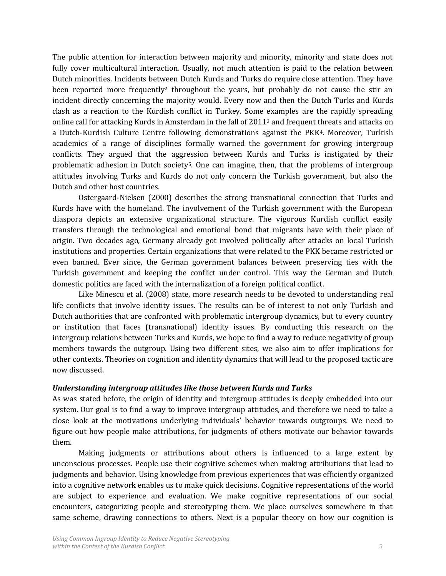The public attention for interaction between majority and minority, minority and state does not fully cover multicultural interaction. Usually, not much attention is paid to the relation between Dutch minorities. Incidents between Dutch Kurds and Turks do require close attention. They have been reported more frequently<sup>2</sup> throughout the years, but probably do not cause the stir an incident directly concerning the majority would. Every now and then the Dutch Turks and Kurds clash as a reaction to the Kurdish conflict in Turkey. Some examples are the rapidly spreading online call for attacking Kurds in Amsterdam in the fall of 2011<sup>3</sup> and frequent threats and attacks on a Dutch-Kurdish Culture Centre following demonstrations against the PKK4. Moreover, Turkish academics of a range of disciplines formally warned the government for growing intergroup conflicts. They argued that the aggression between Kurds and Turks is instigated by their problematic adhesion in Dutch society<sup>5</sup>. One can imagine, then, that the problems of intergroup attitudes involving Turks and Kurds do not only concern the Turkish government, but also the Dutch and other host countries.

Ostergaard-Nielsen (2000) describes the strong transnational connection that Turks and Kurds have with the homeland. The involvement of the Turkish government with the European diaspora depicts an extensive organizational structure. The vigorous Kurdish conflict easily transfers through the technological and emotional bond that migrants have with their place of origin. Two decades ago, Germany already got involved politically after attacks on local Turkish institutions and properties. Certain organizations that were related to the PKK became restricted or even banned. Ever since, the German government balances between preserving ties with the Turkish government and keeping the conflict under control. This way the German and Dutch domestic politics are faced with the internalization of a foreign political conflict.

Like Minescu et al. (2008) state, more research needs to be devoted to understanding real life conflicts that involve identity issues. The results can be of interest to not only Turkish and Dutch authorities that are confronted with problematic intergroup dynamics, but to every country or institution that faces (transnational) identity issues. By conducting this research on the intergroup relations between Turks and Kurds, we hope to find a way to reduce negativity of group members towards the outgroup. Using two different sites, we also aim to offer implications for other contexts. Theories on cognition and identity dynamics that will lead to the proposed tactic are now discussed.

#### *Understanding intergroup attitudes like those between Kurds and Turks*

As was stated before, the origin of identity and intergroup attitudes is deeply embedded into our system. Our goal is to find a way to improve intergroup attitudes, and therefore we need to take a close look at the motivations underlying individuals' behavior towards outgroups. We need to figure out how people make attributions, for judgments of others motivate our behavior towards them.

Making judgments or attributions about others is influenced to a large extent by unconscious processes. People use their cognitive schemes when making attributions that lead to judgments and behavior. Using knowledge from previous experiences that was efficiently organized into a cognitive network enables us to make quick decisions. Cognitive representations of the world are subject to experience and evaluation. We make cognitive representations of our social encounters, categorizing people and stereotyping them. We place ourselves somewhere in that same scheme, drawing connections to others. Next is a popular theory on how our cognition is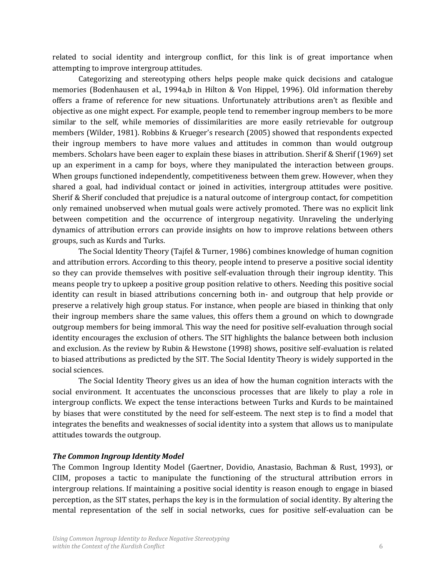related to social identity and intergroup conflict, for this link is of great importance when attempting to improve intergroup attitudes.

Categorizing and stereotyping others helps people make quick decisions and catalogue memories (Bodenhausen et al., 1994a,b in Hilton & Von Hippel, 1996). Old information thereby offers a frame of reference for new situations. Unfortunately attributions aren't as flexible and objective as one might expect. For example, people tend to remember ingroup members to be more similar to the self, while memories of dissimilarities are more easily retrievable for outgroup members (Wilder, 1981). Robbins & Krueger's research (2005) showed that respondents expected their ingroup members to have more values and attitudes in common than would outgroup members. Scholars have been eager to explain these biases in attribution. Sherif & Sherif (1969) set up an experiment in a camp for boys, where they manipulated the interaction between groups. When groups functioned independently, competitiveness between them grew. However, when they shared a goal, had individual contact or joined in activities, intergroup attitudes were positive. Sherif & Sherif concluded that prejudice is a natural outcome of intergroup contact, for competition only remained unobserved when mutual goals were actively promoted. There was no explicit link between competition and the occurrence of intergroup negativity. Unraveling the underlying dynamics of attribution errors can provide insights on how to improve relations between others groups, such as Kurds and Turks.

The Social Identity Theory (Tajfel & Turner, 1986) combines knowledge of human cognition and attribution errors. According to this theory, people intend to preserve a positive social identity so they can provide themselves with positive self-evaluation through their ingroup identity. This means people try to upkeep a positive group position relative to others. Needing this positive social identity can result in biased attributions concerning both in- and outgroup that help provide or preserve a relatively high group status. For instance, when people are biased in thinking that only their ingroup members share the same values, this offers them a ground on which to downgrade outgroup members for being immoral. This way the need for positive self-evaluation through social identity encourages the exclusion of others. The SIT highlights the balance between both inclusion and exclusion. As the review by Rubin & Hewstone (1998) shows, positive self-evaluation is related to biased attributions as predicted by the SIT. The Social Identity Theory is widely supported in the social sciences.

The Social Identity Theory gives us an idea of how the human cognition interacts with the social environment. It accentuates the unconscious processes that are likely to play a role in intergroup conflicts. We expect the tense interactions between Turks and Kurds to be maintained by biases that were constituted by the need for self-esteem. The next step is to find a model that integrates the benefits and weaknesses of social identity into a system that allows us to manipulate attitudes towards the outgroup.

#### *The Common Ingroup Identity Model*

The Common Ingroup Identity Model (Gaertner, Dovidio, Anastasio, Bachman & Rust, 1993), or CIIM, proposes a tactic to manipulate the functioning of the structural attribution errors in intergroup relations. If maintaining a positive social identity is reason enough to engage in biased perception, as the SIT states, perhaps the key is in the formulation of social identity. By altering the mental representation of the self in social networks, cues for positive self-evaluation can be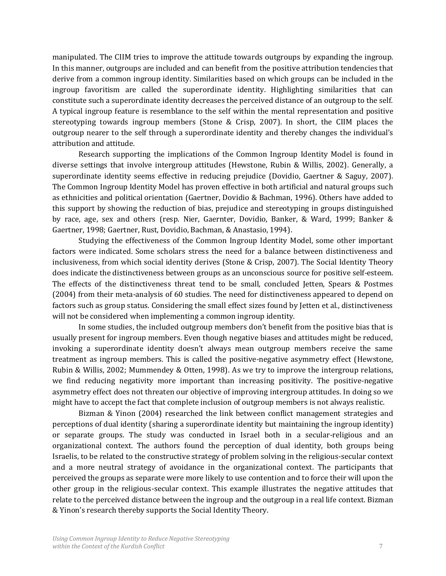manipulated. The CIIM tries to improve the attitude towards outgroups by expanding the ingroup. In this manner, outgroups are included and can benefit from the positive attribution tendencies that derive from a common ingroup identity. Similarities based on which groups can be included in the ingroup favoritism are called the superordinate identity. Highlighting similarities that can constitute such a superordinate identity decreases the perceived distance of an outgroup to the self. A typical ingroup feature is resemblance to the self within the mental representation and positive stereotyping towards ingroup members (Stone & Crisp, 2007). In short, the CIIM places the outgroup nearer to the self through a superordinate identity and thereby changes the individual's attribution and attitude.

Research supporting the implications of the Common Ingroup Identity Model is found in diverse settings that involve intergroup attitudes (Hewstone, Rubin & Willis, 2002). Generally, a superordinate identity seems effective in reducing prejudice (Dovidio, Gaertner & Saguy, 2007). The Common Ingroup Identity Model has proven effective in both artificial and natural groups such as ethnicities and political orientation (Gaertner, Dovidio & Bachman, 1996). Others have added to this support by showing the reduction of bias, prejudice and stereotyping in groups distinguished by race, age, sex and others (resp. Nier, Gaernter, Dovidio, Banker, & Ward, 1999; Banker & Gaertner, 1998; Gaertner, Rust, Dovidio, Bachman, & Anastasio, 1994).

Studying the effectiveness of the Common Ingroup Identity Model, some other important factors were indicated. Some scholars stress the need for a balance between distinctiveness and inclusiveness, from which social identity derives (Stone & Crisp, 2007). The Social Identity Theory does indicate the distinctiveness between groups as an unconscious source for positive self-esteem. The effects of the distinctiveness threat tend to be small, concluded Jetten, Spears & Postmes (2004) from their meta-analysis of 60 studies. The need for distinctiveness appeared to depend on factors such as group status. Considering the small effect sizes found by Jetten et al., distinctiveness will not be considered when implementing a common ingroup identity.

In some studies, the included outgroup members don't benefit from the positive bias that is usually present for ingroup members. Even though negative biases and attitudes might be reduced, invoking a superordinate identity doesn't always mean outgroup members receive the same treatment as ingroup members. This is called the positive-negative asymmetry effect (Hewstone, Rubin & Willis, 2002; Mummendey & Otten, 1998). As we try to improve the intergroup relations, we find reducing negativity more important than increasing positivity. The positive-negative asymmetry effect does not threaten our objective of improving intergroup attitudes. In doing so we might have to accept the fact that complete inclusion of outgroup members is not always realistic.

Bizman & Yinon (2004) researched the link between conflict management strategies and perceptions of dual identity (sharing a superordinate identity but maintaining the ingroup identity) or separate groups. The study was conducted in Israel both in a secular-religious and an organizational context. The authors found the perception of dual identity, both groups being Israelis, to be related to the constructive strategy of problem solving in the religious-secular context and a more neutral strategy of avoidance in the organizational context. The participants that perceived the groups as separate were more likely to use contention and to force their will upon the other group in the religious-secular context. This example illustrates the negative attitudes that relate to the perceived distance between the ingroup and the outgroup in a real life context. Bizman & Yinon's research thereby supports the Social Identity Theory.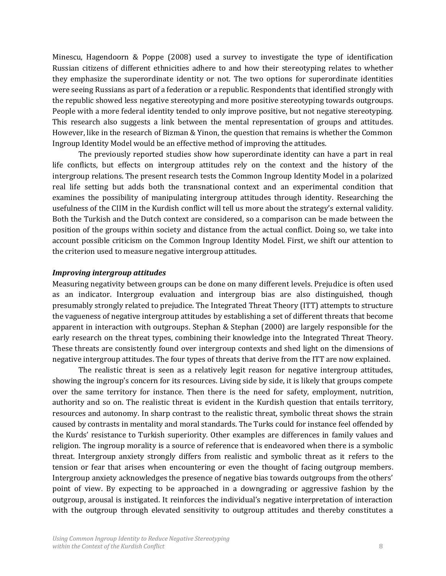Minescu, Hagendoorn & Poppe (2008) used a survey to investigate the type of identification Russian citizens of different ethnicities adhere to and how their stereotyping relates to whether they emphasize the superordinate identity or not. The two options for superordinate identities were seeing Russians as part of a federation or a republic. Respondents that identified strongly with the republic showed less negative stereotyping and more positive stereotyping towards outgroups. People with a more federal identity tended to only improve positive, but not negative stereotyping. This research also suggests a link between the mental representation of groups and attitudes. However, like in the research of Bizman & Yinon, the question that remains is whether the Common Ingroup Identity Model would be an effective method of improving the attitudes.

The previously reported studies show how superordinate identity can have a part in real life conflicts, but effects on intergroup attitudes rely on the context and the history of the intergroup relations. The present research tests the Common Ingroup Identity Model in a polarized real life setting but adds both the transnational context and an experimental condition that examines the possibility of manipulating intergroup attitudes through identity. Researching the usefulness of the CIIM in the Kurdish conflict will tell us more about the strategy's external validity. Both the Turkish and the Dutch context are considered, so a comparison can be made between the position of the groups within society and distance from the actual conflict. Doing so, we take into account possible criticism on the Common Ingroup Identity Model. First, we shift our attention to the criterion used to measure negative intergroup attitudes.

#### *Improving intergroup attitudes*

Measuring negativity between groups can be done on many different levels. Prejudice is often used as an indicator. Intergroup evaluation and intergroup bias are also distinguished, though presumably strongly related to prejudice. The Integrated Threat Theory (ITT) attempts to structure the vagueness of negative intergroup attitudes by establishing a set of different threats that become apparent in interaction with outgroups. Stephan & Stephan (2000) are largely responsible for the early research on the threat types, combining their knowledge into the Integrated Threat Theory. These threats are consistently found over intergroup contexts and shed light on the dimensions of negative intergroup attitudes. The four types of threats that derive from the ITT are now explained.

The realistic threat is seen as a relatively legit reason for negative intergroup attitudes, showing the ingroup's concern for its resources. Living side by side, it is likely that groups compete over the same territory for instance. Then there is the need for safety, employment, nutrition, authority and so on. The realistic threat is evident in the Kurdish question that entails territory, resources and autonomy. In sharp contrast to the realistic threat, symbolic threat shows the strain caused by contrasts in mentality and moral standards. The Turks could for instance feel offended by the Kurds' resistance to Turkish superiority. Other examples are differences in family values and religion. The ingroup morality is a source of reference that is endeavored when there is a symbolic threat. Intergroup anxiety strongly differs from realistic and symbolic threat as it refers to the tension or fear that arises when encountering or even the thought of facing outgroup members. Intergroup anxiety acknowledges the presence of negative bias towards outgroups from the others' point of view. By expecting to be approached in a downgrading or aggressive fashion by the outgroup, arousal is instigated. It reinforces the individual's negative interpretation of interaction with the outgroup through elevated sensitivity to outgroup attitudes and thereby constitutes a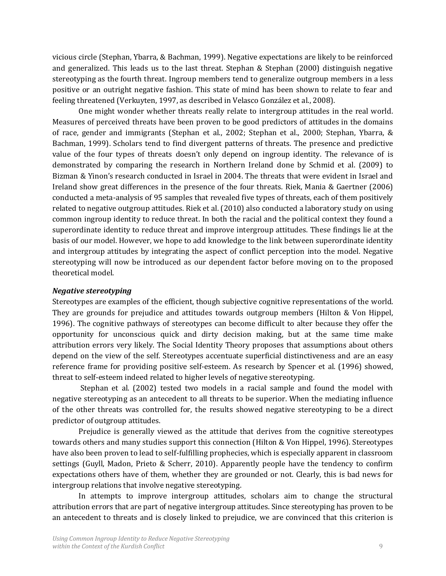vicious circle (Stephan, Ybarra, & Bachman, 1999). Negative expectations are likely to be reinforced and generalized. This leads us to the last threat. Stephan & Stephan (2000) distinguish negative stereotyping as the fourth threat. Ingroup members tend to generalize outgroup members in a less positive or an outright negative fashion. This state of mind has been shown to relate to fear and feeling threatened (Verkuyten, 1997, as described in Velasco González et al., 2008).

One might wonder whether threats really relate to intergroup attitudes in the real world. Measures of perceived threats have been proven to be good predictors of attitudes in the domains of race, gender and immigrants (Stephan et al., 2002; Stephan et al., 2000; Stephan, Ybarra, & Bachman, 1999). Scholars tend to find divergent patterns of threats. The presence and predictive value of the four types of threats doesn't only depend on ingroup identity. The relevance of is demonstrated by comparing the research in Northern Ireland done by Schmid et al. (2009) to Bizman & Yinon's research conducted in Israel in 2004. The threats that were evident in Israel and Ireland show great differences in the presence of the four threats. Riek, Mania & Gaertner (2006) conducted a meta-analysis of 95 samples that revealed five types of threats, each of them positively related to negative outgroup attitudes. Riek et al. (2010) also conducted a laboratory study on using common ingroup identity to reduce threat. In both the racial and the political context they found a superordinate identity to reduce threat and improve intergroup attitudes. These findings lie at the basis of our model. However, we hope to add knowledge to the link between superordinate identity and intergroup attitudes by integrating the aspect of conflict perception into the model. Negative stereotyping will now be introduced as our dependent factor before moving on to the proposed theoretical model.

#### *Negative stereotyping*

Stereotypes are examples of the efficient, though subjective cognitive representations of the world. They are grounds for prejudice and attitudes towards outgroup members (Hilton & Von Hippel, 1996). The cognitive pathways of stereotypes can become difficult to alter because they offer the opportunity for unconscious quick and dirty decision making, but at the same time make attribution errors very likely. The Social Identity Theory proposes that assumptions about others depend on the view of the self. Stereotypes accentuate superficial distinctiveness and are an easy reference frame for providing positive self-esteem. As research by Spencer et al. (1996) showed, threat to self-esteem indeed related to higher levels of negative stereotyping.

Stephan et al. (2002) tested two models in a racial sample and found the model with negative stereotyping as an antecedent to all threats to be superior. When the mediating influence of the other threats was controlled for, the results showed negative stereotyping to be a direct predictor of outgroup attitudes.

Prejudice is generally viewed as the attitude that derives from the cognitive stereotypes towards others and many studies support this connection (Hilton & Von Hippel, 1996). Stereotypes have also been proven to lead to self-fulfilling prophecies, which is especially apparent in classroom settings (Guyll, Madon, Prieto & Scherr, 2010). Apparently people have the tendency to confirm expectations others have of them, whether they are grounded or not. Clearly, this is bad news for intergroup relations that involve negative stereotyping.

In attempts to improve intergroup attitudes, scholars aim to change the structural attribution errors that are part of negative intergroup attitudes. Since stereotyping has proven to be an antecedent to threats and is closely linked to prejudice, we are convinced that this criterion is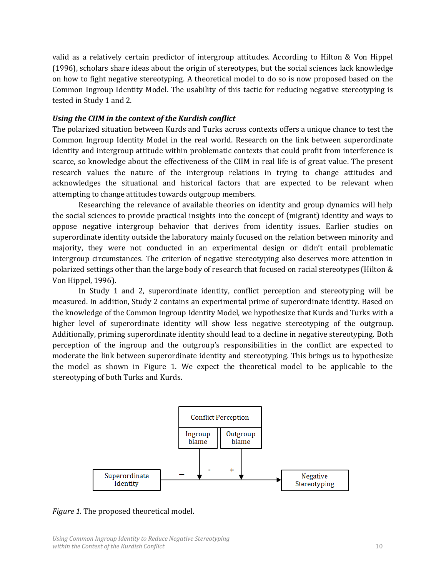valid as a relatively certain predictor of intergroup attitudes. According to Hilton & Von Hippel (1996), scholars share ideas about the origin of stereotypes, but the social sciences lack knowledge on how to fight negative stereotyping. A theoretical model to do so is now proposed based on the Common Ingroup Identity Model. The usability of this tactic for reducing negative stereotyping is tested in Study 1 and 2.

#### *Using the CIIM in the context of the Kurdish conflict*

The polarized situation between Kurds and Turks across contexts offers a unique chance to test the Common Ingroup Identity Model in the real world. Research on the link between superordinate identity and intergroup attitude within problematic contexts that could profit from interference is scarce, so knowledge about the effectiveness of the CIIM in real life is of great value. The present research values the nature of the intergroup relations in trying to change attitudes and acknowledges the situational and historical factors that are expected to be relevant when attempting to change attitudes towards outgroup members.

Researching the relevance of available theories on identity and group dynamics will help the social sciences to provide practical insights into the concept of (migrant) identity and ways to oppose negative intergroup behavior that derives from identity issues. Earlier studies on superordinate identity outside the laboratory mainly focused on the relation between minority and majority, they were not conducted in an experimental design or didn't entail problematic intergroup circumstances. The criterion of negative stereotyping also deserves more attention in polarized settings other than the large body of research that focused on racial stereotypes (Hilton & Von Hippel, 1996).

In Study 1 and 2, superordinate identity, conflict perception and stereotyping will be measured. In addition, Study 2 contains an experimental prime of superordinate identity. Based on the knowledge of the Common Ingroup Identity Model, we hypothesize that Kurds and Turks with a higher level of superordinate identity will show less negative stereotyping of the outgroup. Additionally, priming superordinate identity should lead to a decline in negative stereotyping. Both perception of the ingroup and the outgroup's responsibilities in the conflict are expected to moderate the link between superordinate identity and stereotyping. This brings us to hypothesize the model as shown in Figure 1. We expect the theoretical model to be applicable to the stereotyping of both Turks and Kurds.



*Figure 1.* The proposed theoretical model.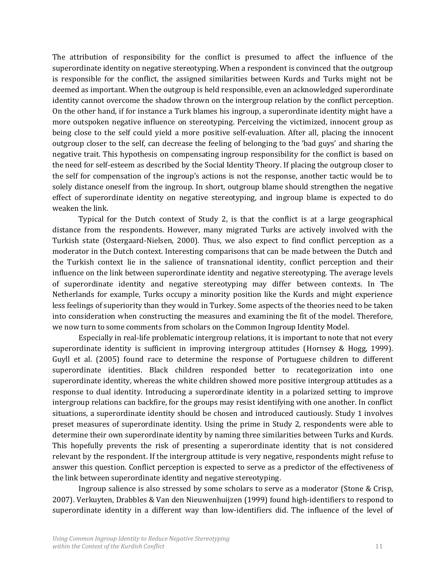The attribution of responsibility for the conflict is presumed to affect the influence of the superordinate identity on negative stereotyping. When a respondent is convinced that the outgroup is responsible for the conflict, the assigned similarities between Kurds and Turks might not be deemed as important. When the outgroup is held responsible, even an acknowledged superordinate identity cannot overcome the shadow thrown on the intergroup relation by the conflict perception. On the other hand, if for instance a Turk blames his ingroup, a superordinate identity might have a more outspoken negative influence on stereotyping. Perceiving the victimized, innocent group as being close to the self could yield a more positive self-evaluation. After all, placing the innocent outgroup closer to the self, can decrease the feeling of belonging to the 'bad guys' and sharing the negative trait. This hypothesis on compensating ingroup responsibility for the conflict is based on the need for self-esteem as described by the Social Identity Theory. If placing the outgroup closer to the self for compensation of the ingroup's actions is not the response, another tactic would be to solely distance oneself from the ingroup. In short, outgroup blame should strengthen the negative effect of superordinate identity on negative stereotyping, and ingroup blame is expected to do weaken the link.

Typical for the Dutch context of Study 2, is that the conflict is at a large geographical distance from the respondents. However, many migrated Turks are actively involved with the Turkish state (Ostergaard-Nielsen, 2000). Thus, we also expect to find conflict perception as a moderator in the Dutch context. Interesting comparisons that can be made between the Dutch and the Turkish context lie in the salience of transnational identity, conflict perception and their influence on the link between superordinate identity and negative stereotyping. The average levels of superordinate identity and negative stereotyping may differ between contexts. In The Netherlands for example, Turks occupy a minority position like the Kurds and might experience less feelings of superiority than they would in Turkey. Some aspects of the theories need to be taken into consideration when constructing the measures and examining the fit of the model. Therefore, we now turn to some comments from scholars on the Common Ingroup Identity Model.

Especially in real-life problematic intergroup relations, it is important to note that not every superordinate identity is sufficient in improving intergroup attitudes (Hornsey & Hogg, 1999). Guyll et al. (2005) found race to determine the response of Portuguese children to different superordinate identities. Black children responded better to recategorization into one superordinate identity, whereas the white children showed more positive intergroup attitudes as a response to dual identity. Introducing a superordinate identity in a polarized setting to improve intergroup relations can backfire, for the groups may resist identifying with one another. In conflict situations, a superordinate identity should be chosen and introduced cautiously. Study 1 involves preset measures of superordinate identity. Using the prime in Study 2, respondents were able to determine their own superordinate identity by naming three similarities between Turks and Kurds. This hopefully prevents the risk of presenting a superordinate identity that is not considered relevant by the respondent. If the intergroup attitude is very negative, respondents might refuse to answer this question. Conflict perception is expected to serve as a predictor of the effectiveness of the link between superordinate identity and negative stereotyping.

Ingroup salience is also stressed by some scholars to serve as a moderator (Stone & Crisp, 2007). Verkuyten, Drabbles & Van den Nieuwenhuijzen (1999) found high-identifiers to respond to superordinate identity in a different way than low-identifiers did. The influence of the level of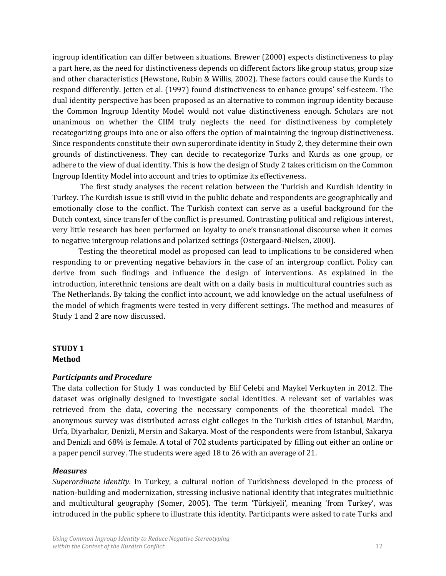ingroup identification can differ between situations. Brewer (2000) expects distinctiveness to play a part here, as the need for distinctiveness depends on different factors like group status, group size and other characteristics (Hewstone, Rubin & Willis, 2002). These factors could cause the Kurds to respond differently. Jetten et al. (1997) found distinctiveness to enhance groups' self-esteem. The dual identity perspective has been proposed as an alternative to common ingroup identity because the Common Ingroup Identity Model would not value distinctiveness enough. Scholars are not unanimous on whether the CIIM truly neglects the need for distinctiveness by completely recategorizing groups into one or also offers the option of maintaining the ingroup distinctiveness. Since respondents constitute their own superordinate identity in Study 2, they determine their own grounds of distinctiveness. They can decide to recategorize Turks and Kurds as one group, or adhere to the view of dual identity. This is how the design of Study 2 takes criticism on the Common Ingroup Identity Model into account and tries to optimize its effectiveness.

The first study analyses the recent relation between the Turkish and Kurdish identity in Turkey. The Kurdish issue is still vivid in the public debate and respondents are geographically and emotionally close to the conflict. The Turkish context can serve as a useful background for the Dutch context, since transfer of the conflict is presumed. Contrasting political and religious interest, very little research has been performed on loyalty to one's transnational discourse when it comes to negative intergroup relations and polarized settings (Ostergaard-Nielsen, 2000).

Testing the theoretical model as proposed can lead to implications to be considered when responding to or preventing negative behaviors in the case of an intergroup conflict. Policy can derive from such findings and influence the design of interventions. As explained in the introduction, interethnic tensions are dealt with on a daily basis in multicultural countries such as The Netherlands. By taking the conflict into account, we add knowledge on the actual usefulness of the model of which fragments were tested in very different settings. The method and measures of Study 1 and 2 are now discussed.

# **STUDY 1 Method**

#### *Participants and Procedure*

The data collection for Study 1 was conducted by Elif Celebi and Maykel Verkuyten in 2012. The dataset was originally designed to investigate social identities. A relevant set of variables was retrieved from the data, covering the necessary components of the theoretical model. The anonymous survey was distributed across eight colleges in the Turkish cities of Istanbul, Mardin, Urfa, Diyarbakır, Denizli, Mersin and Sakarya. Most of the respondents were from Istanbul, Sakarya and Denizli and 68% is female. A total of 702 students participated by filling out either an online or a paper pencil survey. The students were aged 18 to 26 with an average of 21.

#### *Measures*

*Superordinate Identity.* In Turkey, a cultural notion of Turkishness developed in the process of nation-building and modernization, stressing inclusive national identity that integrates multiethnic and multicultural geography (Somer, 2005). The term 'Türkiyeli', meaning 'from Turkey', was introduced in the public sphere to illustrate this identity. Participants were asked to rate Turks and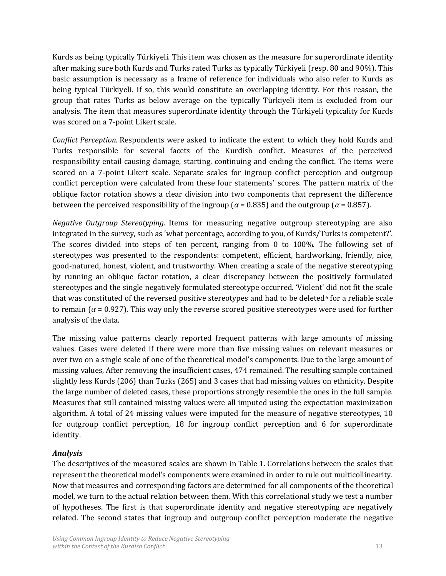Kurds as being typically Türkiyeli. This item was chosen as the measure for superordinate identity after making sure both Kurds and Turks rated Turks as typically Türkiyeli (resp. 80 and 90%). This basic assumption is necessary as a frame of reference for individuals who also refer to Kurds as being typical Türkiyeli. If so, this would constitute an overlapping identity. For this reason, the group that rates Turks as below average on the typically Türkiyeli item is excluded from our analysis. The item that measures superordinate identity through the Türkiyeli typicality for Kurds was scored on a 7-point Likert scale.

*Conflict Perception.* Respondents were asked to indicate the extent to which they hold Kurds and Turks responsible for several facets of the Kurdish conflict. Measures of the perceived responsibility entail causing damage, starting, continuing and ending the conflict. The items were scored on a 7-point Likert scale. Separate scales for ingroup conflict perception and outgroup conflict perception were calculated from these four statements' scores. The pattern matrix of the oblique factor rotation shows a clear division into two components that represent the difference between the perceived responsibility of the ingroup ( $\alpha$  = 0.835) and the outgroup ( $\alpha$  = 0.857).

*Negative Outgroup Stereotyping.* Items for measuring negative outgroup stereotyping are also integrated in the survey, such as 'what percentage, according to you, of Kurds/Turks is competent?'. The scores divided into steps of ten percent, ranging from 0 to 100%. The following set of stereotypes was presented to the respondents: competent, efficient, hardworking, friendly, nice, good-natured, honest, violent, and trustworthy. When creating a scale of the negative stereotyping by running an oblique factor rotation, a clear discrepancy between the positively formulated stereotypes and the single negatively formulated stereotype occurred. 'Violent' did not fit the scale that was constituted of the reversed positive stereotypes and had to be deleted<sup> $6$ </sup> for a reliable scale to remain ( $\alpha$  = 0.927). This way only the reverse scored positive stereotypes were used for further analysis of the data.

The missing value patterns clearly reported frequent patterns with large amounts of missing values. Cases were deleted if there were more than five missing values on relevant measures or over two on a single scale of one of the theoretical model's components. Due to the large amount of missing values, After removing the insufficient cases, 474 remained. The resulting sample contained slightly less Kurds (206) than Turks (265) and 3 cases that had missing values on ethnicity. Despite the large number of deleted cases, these proportions strongly resemble the ones in the full sample. Measures that still contained missing values were all imputed using the expectation maximization algorithm. A total of 24 missing values were imputed for the measure of negative stereotypes, 10 for outgroup conflict perception, 18 for ingroup conflict perception and 6 for superordinate identity.

# *Analysis*

The descriptives of the measured scales are shown in Table 1. Correlations between the scales that represent the theoretical model's components were examined in order to rule out multicollinearity. Now that measures and corresponding factors are determined for all components of the theoretical model, we turn to the actual relation between them. With this correlational study we test a number of hypotheses. The first is that superordinate identity and negative stereotyping are negatively related. The second states that ingroup and outgroup conflict perception moderate the negative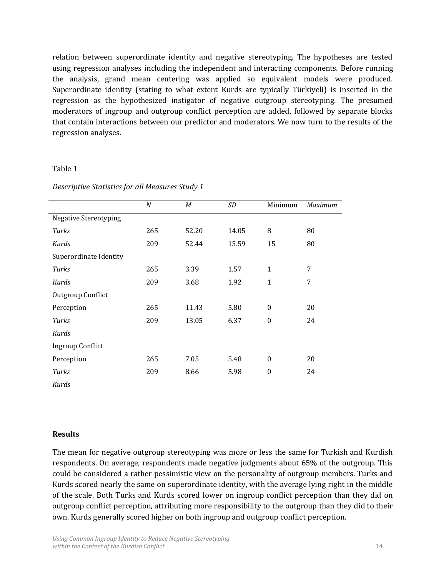relation between superordinate identity and negative stereotyping. The hypotheses are tested using regression analyses including the independent and interacting components. Before running the analysis, grand mean centering was applied so equivalent models were produced. Superordinate identity (stating to what extent Kurds are typically Türkiyeli) is inserted in the regression as the hypothesized instigator of negative outgroup stereotyping. The presumed moderators of ingroup and outgroup conflict perception are added, followed by separate blocks that contain interactions between our predictor and moderators. We now turn to the results of the regression analyses.

#### Table 1

|                              | $\boldsymbol{N}$ | М     | SD    | Minimum          | Maximum |
|------------------------------|------------------|-------|-------|------------------|---------|
| <b>Negative Stereotyping</b> |                  |       |       |                  |         |
| Turks                        | 265              | 52.20 | 14.05 | 8                | 80      |
| Kurds                        | 209              | 52.44 | 15.59 | 15               | 80      |
| Superordinate Identity       |                  |       |       |                  |         |
| Turks                        | 265              | 3.39  | 1.57  | $\mathbf{1}$     | 7       |
| Kurds                        | 209              | 3.68  | 1.92  | $\mathbf{1}$     | 7       |
| Outgroup Conflict            |                  |       |       |                  |         |
| Perception                   | 265              | 11.43 | 5.80  | $\mathbf{0}$     | 20      |
| Turks                        | 209              | 13.05 | 6.37  | $\boldsymbol{0}$ | 24      |
| Kurds                        |                  |       |       |                  |         |
| <b>Ingroup Conflict</b>      |                  |       |       |                  |         |
| Perception                   | 265              | 7.05  | 5.48  | $\mathbf{0}$     | 20      |
| Turks                        | 209              | 8.66  | 5.98  | $\mathbf{0}$     | 24      |
| Kurds                        |                  |       |       |                  |         |

*Descriptive Statistics for all Measures Study 1*

## **Results**

The mean for negative outgroup stereotyping was more or less the same for Turkish and Kurdish respondents. On average, respondents made negative judgments about 65% of the outgroup. This could be considered a rather pessimistic view on the personality of outgroup members. Turks and Kurds scored nearly the same on superordinate identity, with the average lying right in the middle of the scale. Both Turks and Kurds scored lower on ingroup conflict perception than they did on outgroup conflict perception, attributing more responsibility to the outgroup than they did to their own. Kurds generally scored higher on both ingroup and outgroup conflict perception.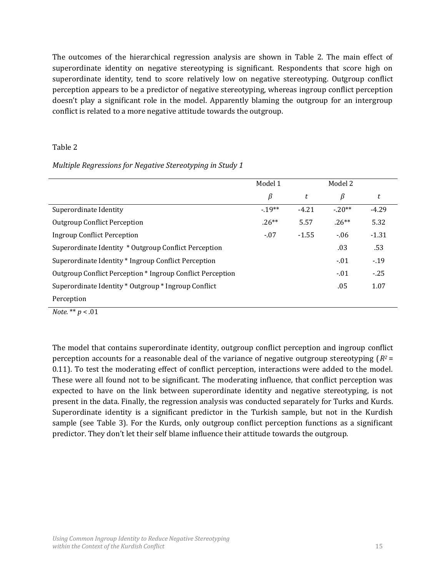The outcomes of the hierarchical regression analysis are shown in Table 2. The main effect of superordinate identity on negative stereotyping is significant. Respondents that score high on superordinate identity, tend to score relatively low on negative stereotyping. Outgroup conflict perception appears to be a predictor of negative stereotyping, whereas ingroup conflict perception doesn't play a significant role in the model. Apparently blaming the outgroup for an intergroup conflict is related to a more negative attitude towards the outgroup.

#### Table 2

#### *Multiple Regressions for Negative Stereotyping in Study 1*

|                                                            | Model 1 |         | Model 2 |         |
|------------------------------------------------------------|---------|---------|---------|---------|
|                                                            | $\beta$ | t       | $\beta$ | t       |
| Superordinate Identity                                     | $-19**$ | $-4.21$ | $-20**$ | $-4.29$ |
| <b>Outgroup Conflict Perception</b>                        | $.26**$ | 5.57    | $.26**$ | 5.32    |
| Ingroup Conflict Perception                                | $-.07$  | $-1.55$ | $-06$   | $-1.31$ |
| Superordinate Identity * Outgroup Conflict Perception      |         |         | .03     | .53     |
| Superordinate Identity * Ingroup Conflict Perception       |         |         | $-01$   | $-19$   |
| Outgroup Conflict Perception * Ingroup Conflict Perception |         |         | $-01$   | $-25$   |
| Superordinate Identity * Outgroup * Ingroup Conflict       |         |         | .05     | 1.07    |
| Perception                                                 |         |         |         |         |

*Note.* \*\* *p* < .01

The model that contains superordinate identity, outgroup conflict perception and ingroup conflict perception accounts for a reasonable deal of the variance of negative outgroup stereotyping (*R<sup>2</sup>* = 0.11). To test the moderating effect of conflict perception, interactions were added to the model. These were all found not to be significant. The moderating influence, that conflict perception was expected to have on the link between superordinate identity and negative stereotyping, is not present in the data. Finally, the regression analysis was conducted separately for Turks and Kurds. Superordinate identity is a significant predictor in the Turkish sample, but not in the Kurdish sample (see Table 3). For the Kurds, only outgroup conflict perception functions as a significant predictor. They don't let their self blame influence their attitude towards the outgroup.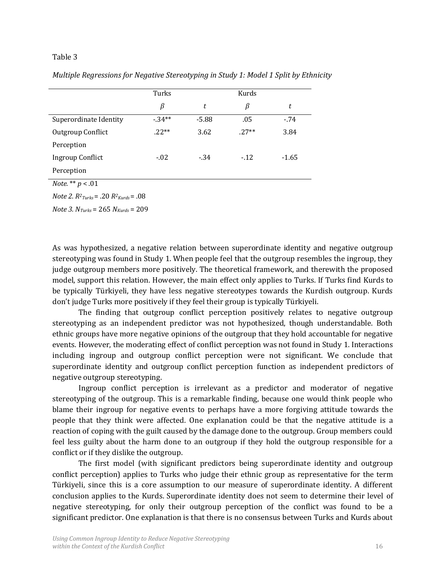#### Table 3

|                        | Turks   |         | Kurds   |         |
|------------------------|---------|---------|---------|---------|
|                        | β       | t       | β       | t       |
| Superordinate Identity | $-34**$ | $-5.88$ | .05     | $-74$   |
| Outgroup Conflict      | $.22**$ | 3.62    | $.27**$ | 3.84    |
| Perception             |         |         |         |         |
| Ingroup Conflict       | $-0.02$ | $-34$   | $-12$   | $-1.65$ |
| Perception             |         |         |         |         |

*Multiple Regressions for Negative Stereotyping in Study 1: Model 1 Split by Ethnicity*

*Note.* \*\* *p* < .01

*Note 2. R<sup>2</sup> Turks*= .20 *R<sup>2</sup> Kurds*= .08

*Note 3. NTurks* = 265 *NKurds* = 209

As was hypothesized, a negative relation between superordinate identity and negative outgroup stereotyping was found in Study 1. When people feel that the outgroup resembles the ingroup, they judge outgroup members more positively. The theoretical framework, and therewith the proposed model, support this relation. However, the main effect only applies to Turks. If Turks find Kurds to be typically Türkiyeli, they have less negative stereotypes towards the Kurdish outgroup. Kurds don't judge Turks more positively if they feel their group is typically Türkiyeli.

The finding that outgroup conflict perception positively relates to negative outgroup stereotyping as an independent predictor was not hypothesized, though understandable. Both ethnic groups have more negative opinions of the outgroup that they hold accountable for negative events. However, the moderating effect of conflict perception was not found in Study 1. Interactions including ingroup and outgroup conflict perception were not significant. We conclude that superordinate identity and outgroup conflict perception function as independent predictors of negative outgroup stereotyping.

Ingroup conflict perception is irrelevant as a predictor and moderator of negative stereotyping of the outgroup. This is a remarkable finding, because one would think people who blame their ingroup for negative events to perhaps have a more forgiving attitude towards the people that they think were affected. One explanation could be that the negative attitude is a reaction of coping with the guilt caused by the damage done to the outgroup. Group members could feel less guilty about the harm done to an outgroup if they hold the outgroup responsible for a conflict or if they dislike the outgroup.

The first model (with significant predictors being superordinate identity and outgroup conflict perception) applies to Turks who judge their ethnic group as representative for the term Türkiyeli, since this is a core assumption to our measure of superordinate identity. A different conclusion applies to the Kurds. Superordinate identity does not seem to determine their level of negative stereotyping, for only their outgroup perception of the conflict was found to be a significant predictor. One explanation is that there is no consensus between Turks and Kurds about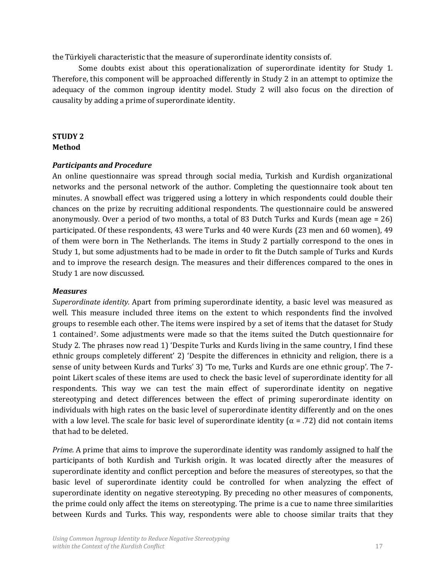the Türkiyeli characteristic that the measure of superordinate identity consists of.

Some doubts exist about this operationalization of superordinate identity for Study 1. Therefore, this component will be approached differently in Study 2 in an attempt to optimize the adequacy of the common ingroup identity model. Study 2 will also focus on the direction of causality by adding a prime of superordinate identity.

#### **STUDY 2 Method**

#### *Participants and Procedure*

An online questionnaire was spread through social media, Turkish and Kurdish organizational networks and the personal network of the author. Completing the questionnaire took about ten minutes. A snowball effect was triggered using a lottery in which respondents could double their chances on the prize by recruiting additional respondents. The questionnaire could be answered anonymously. Over a period of two months, a total of 83 Dutch Turks and Kurds (mean age = 26) participated. Of these respondents, 43 were Turks and 40 were Kurds (23 men and 60 women), 49 of them were born in The Netherlands. The items in Study 2 partially correspond to the ones in Study 1, but some adjustments had to be made in order to fit the Dutch sample of Turks and Kurds and to improve the research design. The measures and their differences compared to the ones in Study 1 are now discussed.

#### *Measures*

*Superordinate identity.* Apart from priming superordinate identity, a basic level was measured as well. This measure included three items on the extent to which respondents find the involved groups to resemble each other. The items were inspired by a set of items that the dataset for Study 1 contained7. Some adjustments were made so that the items suited the Dutch questionnaire for Study 2. The phrases now read 1) 'Despite Turks and Kurds living in the same country, I find these ethnic groups completely different' 2) 'Despite the differences in ethnicity and religion, there is a sense of unity between Kurds and Turks' 3) 'To me, Turks and Kurds are one ethnic group'. The 7 point Likert scales of these items are used to check the basic level of superordinate identity for all respondents. This way we can test the main effect of superordinate identity on negative stereotyping and detect differences between the effect of priming superordinate identity on individuals with high rates on the basic level of superordinate identity differently and on the ones with a low level. The scale for basic level of superordinate identity ( $\alpha$  = .72) did not contain items that had to be deleted.

*Prime.* A prime that aims to improve the superordinate identity was randomly assigned to half the participants of both Kurdish and Turkish origin. It was located directly after the measures of superordinate identity and conflict perception and before the measures of stereotypes, so that the basic level of superordinate identity could be controlled for when analyzing the effect of superordinate identity on negative stereotyping. By preceding no other measures of components, the prime could only affect the items on stereotyping. The prime is a cue to name three similarities between Kurds and Turks. This way, respondents were able to choose similar traits that they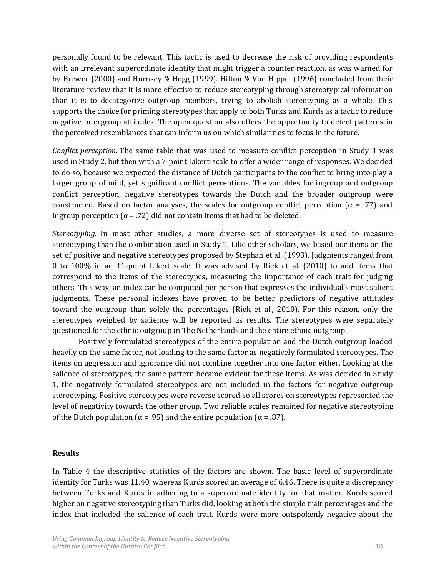personally found to be relevant. This tactic is used to decrease the risk of providing respondents with an irrelevant superordinate identity that might trigger a counter reaction, as was warned for by Brewer (2000) and Hornsey & Hogg (1999). Hilton & Von Hippel (1996) concluded from their literature review that it is more effective to reduce stereotyping through stereotypical information than it is to decategorize outgroup members, trying to abolish stereotyping as a whole. This supports the choice for priming stereotypes that apply to both Turks and Kurds as a tactic to reduce negative intergroup attitudes. The open question also offers the opportunity to detect patterns in the perceived resemblances that can inform us on which similarities to focus in the future.

*Conflict perception.* The same table that was used to measure conflict perception in Study 1 was used in Study 2, but then with a 7-point Likert-scale to offer a wider range of responses. We decided to do so, because we expected the distance of Dutch participants to the conflict to bring into play a larger group of mild, yet significant conflict perceptions. The variables for ingroup and outgroup conflict perception, negative stereotypes towards the Dutch and the broader outgroup were constructed. Based on factor analyses, the scales for outgroup conflict perception ( $\alpha$  = .77) and ingroup perception ( $\alpha$  = .72) did not contain items that had to be deleted.

*Stereotyping.* In most other studies, a more diverse set of stereotypes is used to measure stereotyping than the combination used in Study 1. Like other scholars, we based our items on the set of positive and negative stereotypes proposed by Stephan et al. (1993). Judgments ranged from 0 to 100% in an 11-point Likert scale. It was advised by Riek et al. (2010) to add items that correspond to the items of the stereotypes, measuring the importance of each trait for judging others. This way, an index can be computed per person that expresses the individual's most salient judgments. These personal indexes have proven to be better predictors of negative attitudes toward the outgroup than solely the percentages (Riek et al., 2010). For this reason, only the stereotypes weighed by salience will be reported as results. The stereotypes were separately questioned for the ethnic outgroup in The Netherlands and the entire ethnic outgroup.

Positively formulated stereotypes of the entire population and the Dutch outgroup loaded heavily on the same factor, not loading to the same factor as negatively formulated stereotypes. The items on aggression and ignorance did not combine together into one factor either. Looking at the salience of stereotypes, the same pattern became evident for these items. As was decided in Study 1, the negatively formulated stereotypes are not included in the factors for negative outgroup stereotyping. Positive stereotypes were reverse scored so all scores on stereotypes represented the level of negativity towards the other group. Two reliable scales remained for negative stereotyping of the Dutch population ( $\alpha$  = .95) and the entire population ( $\alpha$  = .87).

#### **Results**

In Table 4 the descriptive statistics of the factors are shown. The basic level of superordinate identity for Turks was 11.40, whereas Kurds scored an average of 6.46. There is quite a discrepancy between Turks and Kurds in adhering to a superordinate identity for that matter. Kurds scored higher on negative stereotyping than Turks did, looking at both the simple trait percentages and the index that included the salience of each trait. Kurds were more outspokenly negative about the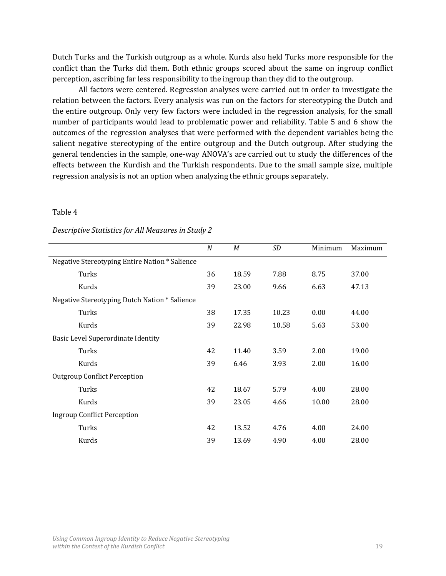Dutch Turks and the Turkish outgroup as a whole. Kurds also held Turks more responsible for the conflict than the Turks did them. Both ethnic groups scored about the same on ingroup conflict perception, ascribing far less responsibility to the ingroup than they did to the outgroup.

All factors were centered. Regression analyses were carried out in order to investigate the relation between the factors. Every analysis was run on the factors for stereotyping the Dutch and the entire outgroup. Only very few factors were included in the regression analysis, for the small number of participants would lead to problematic power and reliability. Table 5 and 6 show the outcomes of the regression analyses that were performed with the dependent variables being the salient negative stereotyping of the entire outgroup and the Dutch outgroup. After studying the general tendencies in the sample, one-way ANOVA's are carried out to study the differences of the effects between the Kurdish and the Turkish respondents. Due to the small sample size, multiple regression analysis is not an option when analyzing the ethnic groups separately.

#### Table 4

|                                                | $\boldsymbol{N}$ | M     | SD    | Minimum | Maximum |
|------------------------------------------------|------------------|-------|-------|---------|---------|
| Negative Stereotyping Entire Nation * Salience |                  |       |       |         |         |
| Turks                                          | 36               | 18.59 | 7.88  | 8.75    | 37.00   |
| Kurds                                          | 39               | 23.00 | 9.66  | 6.63    | 47.13   |
| Negative Stereotyping Dutch Nation * Salience  |                  |       |       |         |         |
| Turks                                          | 38               | 17.35 | 10.23 | 0.00    | 44.00   |
| Kurds                                          | 39               | 22.98 | 10.58 | 5.63    | 53.00   |
| <b>Basic Level Superordinate Identity</b>      |                  |       |       |         |         |
| Turks                                          | 42               | 11.40 | 3.59  | 2.00    | 19.00   |
| Kurds                                          | 39               | 6.46  | 3.93  | 2.00    | 16.00   |
| <b>Outgroup Conflict Perception</b>            |                  |       |       |         |         |
| Turks                                          | 42               | 18.67 | 5.79  | 4.00    | 28.00   |
| Kurds                                          | 39               | 23.05 | 4.66  | 10.00   | 28.00   |
| <b>Ingroup Conflict Perception</b>             |                  |       |       |         |         |
| Turks                                          | 42               | 13.52 | 4.76  | 4.00    | 24.00   |
| Kurds                                          | 39               | 13.69 | 4.90  | 4.00    | 28.00   |

#### *Descriptive Statistics for All Measures in Study 2*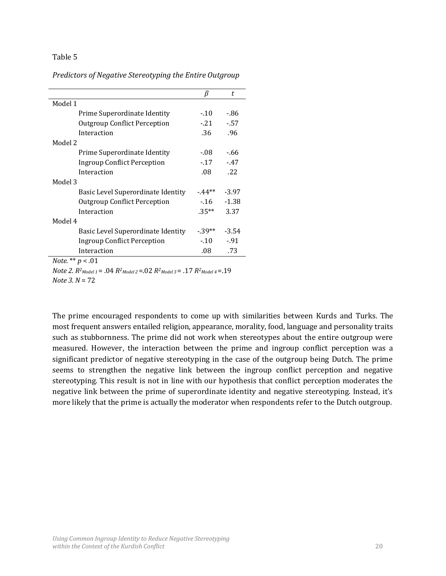#### Table 5

*Predictors of Negative Stereotyping the Entire Outgroup*

|                                     | β        | t       |
|-------------------------------------|----------|---------|
| Model 1                             |          |         |
| Prime Superordinate Identity        | $-10$    | -.86    |
| <b>Outgroup Conflict Perception</b> | $-21$    | $-57$   |
| Interaction                         | .36      | .96     |
| Model 2                             |          |         |
| Prime Superordinate Identity        | - 08     | -.66    |
| Ingroup Conflict Perception         | $-17$    | $-47$   |
| Interaction                         | .08      | .22     |
| Model 3                             |          |         |
| Basic Level Superordinate Identity  | $-44**$  | $-3.97$ |
| <b>Outgroup Conflict Perception</b> | $-16$    | $-1.38$ |
| Interaction                         | $.35***$ | 3.37    |
| Model 4                             |          |         |
| Basic Level Superordinate Identity  | $-39**$  | $-3.54$ |
| <b>Ingroup Conflict Perception</b>  | $-10$    | $-91$   |
| Interaction                         | .08      | .73     |
| <i>Note.</i> ** $p < .01$           |          |         |

*Note* 2.  $R^2_{Model 1}$  = .04  $R^2_{Model 2}$  = .02  $R^2_{Model 3}$  = .17  $R^2_{Model 4}$  = .19 *Note 3. N* = 72

The prime encouraged respondents to come up with similarities between Kurds and Turks. The most frequent answers entailed religion, appearance, morality, food, language and personality traits such as stubbornness. The prime did not work when stereotypes about the entire outgroup were measured. However, the interaction between the prime and ingroup conflict perception was a significant predictor of negative stereotyping in the case of the outgroup being Dutch. The prime seems to strengthen the negative link between the ingroup conflict perception and negative stereotyping. This result is not in line with our hypothesis that conflict perception moderates the negative link between the prime of superordinate identity and negative stereotyping. Instead, it's more likely that the prime is actually the moderator when respondents refer to the Dutch outgroup.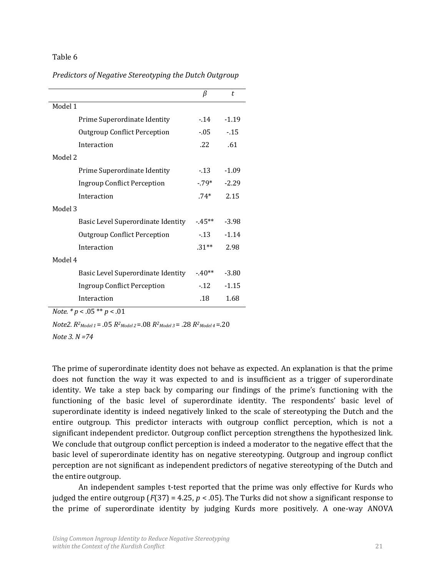#### Table 6

*Predictors of Negative Stereotyping the Dutch Outgroup*

|                                     | β       | t.      |
|-------------------------------------|---------|---------|
| Model 1                             |         |         |
| Prime Superordinate Identity        | $-14$   | $-1.19$ |
| <b>Outgroup Conflict Perception</b> | $-05$   | $-15$   |
| Interaction                         | .22     | .61     |
| Model 2                             |         |         |
| Prime Superordinate Identity        | $-13$   | $-1.09$ |
| <b>Ingroup Conflict Perception</b>  | -.79*   | $-2.29$ |
| Interaction                         | $.74*$  | 2.15    |
| Model 3                             |         |         |
| Basic Level Superordinate Identity  | $-45**$ | $-3.98$ |
| <b>Outgroup Conflict Perception</b> | $-13$   | $-1.14$ |
| Interaction                         | $.31**$ | 2.98    |
| Model 4                             |         |         |
| Basic Level Superordinate Identity  | $-40**$ | $-3.80$ |
| <b>Ingroup Conflict Perception</b>  | $-12$   | $-1.15$ |
| Interaction                         | .18     | 1.68    |

*Note. \* p* < .05 \*\* *p* < .01

*Note2.*  $R^2_{Model\ 1} = .05 R^2_{Model\ 2} = .08 R^2_{Model\ 3} = .28 R^2_{Model\ 4} = .20$ 

*Note 3. N =74*

The prime of superordinate identity does not behave as expected. An explanation is that the prime does not function the way it was expected to and is insufficient as a trigger of superordinate identity. We take a step back by comparing our findings of the prime's functioning with the functioning of the basic level of superordinate identity. The respondents' basic level of superordinate identity is indeed negatively linked to the scale of stereotyping the Dutch and the entire outgroup. This predictor interacts with outgroup conflict perception, which is not a significant independent predictor. Outgroup conflict perception strengthens the hypothesized link. We conclude that outgroup conflict perception is indeed a moderator to the negative effect that the basic level of superordinate identity has on negative stereotyping. Outgroup and ingroup conflict perception are not significant as independent predictors of negative stereotyping of the Dutch and the entire outgroup.

An independent samples t-test reported that the prime was only effective for Kurds who judged the entire outgroup  $(F(37) = 4.25, p < .05)$ . The Turks did not show a significant response to the prime of superordinate identity by judging Kurds more positively. A one-way ANOVA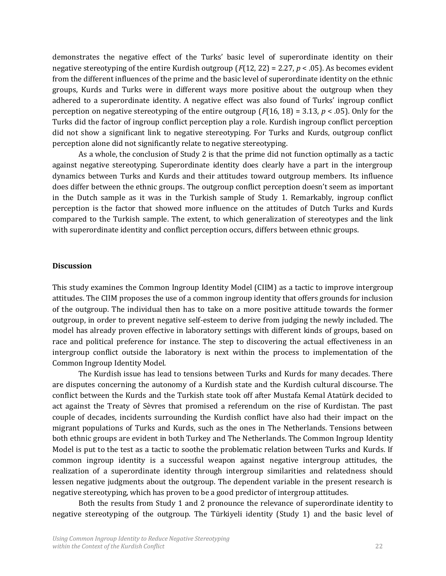demonstrates the negative effect of the Turks' basic level of superordinate identity on their negative stereotyping of the entire Kurdish outgroup (*F*(12, 22) = 2.27, *p* < .05). As becomes evident from the different influences of the prime and the basic level of superordinate identity on the ethnic groups, Kurds and Turks were in different ways more positive about the outgroup when they adhered to a superordinate identity. A negative effect was also found of Turks' ingroup conflict perception on negative stereotyping of the entire outgroup (*F*(16, 18) = 3.13, *p* < .05). Only for the Turks did the factor of ingroup conflict perception play a role. Kurdish ingroup conflict perception did not show a significant link to negative stereotyping. For Turks and Kurds, outgroup conflict perception alone did not significantly relate to negative stereotyping.

As a whole, the conclusion of Study 2 is that the prime did not function optimally as a tactic against negative stereotyping. Superordinate identity does clearly have a part in the intergroup dynamics between Turks and Kurds and their attitudes toward outgroup members. Its influence does differ between the ethnic groups. The outgroup conflict perception doesn't seem as important in the Dutch sample as it was in the Turkish sample of Study 1. Remarkably, ingroup conflict perception is the factor that showed more influence on the attitudes of Dutch Turks and Kurds compared to the Turkish sample. The extent, to which generalization of stereotypes and the link with superordinate identity and conflict perception occurs, differs between ethnic groups.

#### **Discussion**

This study examines the Common Ingroup Identity Model (CIIM) as a tactic to improve intergroup attitudes. The CIIM proposes the use of a common ingroup identity that offers grounds for inclusion of the outgroup. The individual then has to take on a more positive attitude towards the former outgroup, in order to prevent negative self-esteem to derive from judging the newly included. The model has already proven effective in laboratory settings with different kinds of groups, based on race and political preference for instance. The step to discovering the actual effectiveness in an intergroup conflict outside the laboratory is next within the process to implementation of the Common Ingroup Identity Model.

The Kurdish issue has lead to tensions between Turks and Kurds for many decades. There are disputes concerning the autonomy of a Kurdish state and the Kurdish cultural discourse. The conflict between the Kurds and the Turkish state took off after Mustafa Kemal Atatürk decided to act against the Treaty of Sèvres that promised a referendum on the rise of Kurdistan. The past couple of decades, incidents surrounding the Kurdish conflict have also had their impact on the migrant populations of Turks and Kurds, such as the ones in The Netherlands. Tensions between both ethnic groups are evident in both Turkey and The Netherlands. The Common Ingroup Identity Model is put to the test as a tactic to soothe the problematic relation between Turks and Kurds. If common ingroup identity is a successful weapon against negative intergroup attitudes, the realization of a superordinate identity through intergroup similarities and relatedness should lessen negative judgments about the outgroup. The dependent variable in the present research is negative stereotyping, which has proven to be a good predictor of intergroup attitudes.

Both the results from Study 1 and 2 pronounce the relevance of superordinate identity to negative stereotyping of the outgroup. The Türkiyeli identity (Study 1) and the basic level of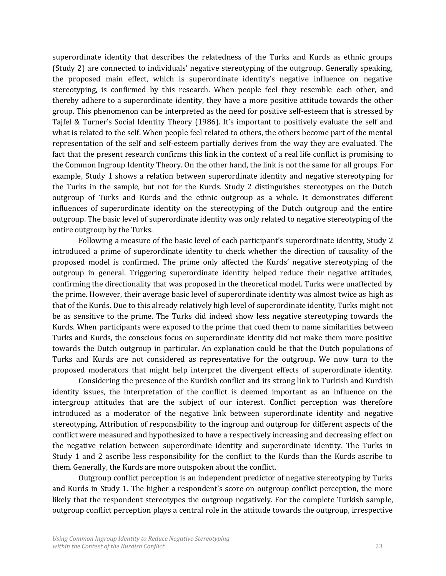superordinate identity that describes the relatedness of the Turks and Kurds as ethnic groups (Study 2) are connected to individuals' negative stereotyping of the outgroup. Generally speaking, the proposed main effect, which is superordinate identity's negative influence on negative stereotyping, is confirmed by this research. When people feel they resemble each other, and thereby adhere to a superordinate identity, they have a more positive attitude towards the other group. This phenomenon can be interpreted as the need for positive self-esteem that is stressed by Tajfel & Turner's Social Identity Theory (1986). It's important to positively evaluate the self and what is related to the self. When people feel related to others, the others become part of the mental representation of the self and self-esteem partially derives from the way they are evaluated. The fact that the present research confirms this link in the context of a real life conflict is promising to the Common Ingroup Identity Theory. On the other hand, the link is not the same for all groups. For example, Study 1 shows a relation between superordinate identity and negative stereotyping for the Turks in the sample, but not for the Kurds. Study 2 distinguishes stereotypes on the Dutch outgroup of Turks and Kurds and the ethnic outgroup as a whole. It demonstrates different influences of superordinate identity on the stereotyping of the Dutch outgroup and the entire outgroup. The basic level of superordinate identity was only related to negative stereotyping of the entire outgroup by the Turks.

Following a measure of the basic level of each participant's superordinate identity, Study 2 introduced a prime of superordinate identity to check whether the direction of causality of the proposed model is confirmed. The prime only affected the Kurds' negative stereotyping of the outgroup in general. Triggering superordinate identity helped reduce their negative attitudes, confirming the directionality that was proposed in the theoretical model. Turks were unaffected by the prime. However, their average basic level of superordinate identity was almost twice as high as that of the Kurds. Due to this already relatively high level of superordinate identity, Turks might not be as sensitive to the prime. The Turks did indeed show less negative stereotyping towards the Kurds. When participants were exposed to the prime that cued them to name similarities between Turks and Kurds, the conscious focus on superordinate identity did not make them more positive towards the Dutch outgroup in particular. An explanation could be that the Dutch populations of Turks and Kurds are not considered as representative for the outgroup. We now turn to the proposed moderators that might help interpret the divergent effects of superordinate identity.

Considering the presence of the Kurdish conflict and its strong link to Turkish and Kurdish identity issues, the interpretation of the conflict is deemed important as an influence on the intergroup attitudes that are the subject of our interest. Conflict perception was therefore introduced as a moderator of the negative link between superordinate identity and negative stereotyping. Attribution of responsibility to the ingroup and outgroup for different aspects of the conflict were measured and hypothesized to have a respectively increasing and decreasing effect on the negative relation between superordinate identity and superordinate identity. The Turks in Study 1 and 2 ascribe less responsibility for the conflict to the Kurds than the Kurds ascribe to them. Generally, the Kurds are more outspoken about the conflict.

Outgroup conflict perception is an independent predictor of negative stereotyping by Turks and Kurds in Study 1. The higher a respondent's score on outgroup conflict perception, the more likely that the respondent stereotypes the outgroup negatively. For the complete Turkish sample, outgroup conflict perception plays a central role in the attitude towards the outgroup, irrespective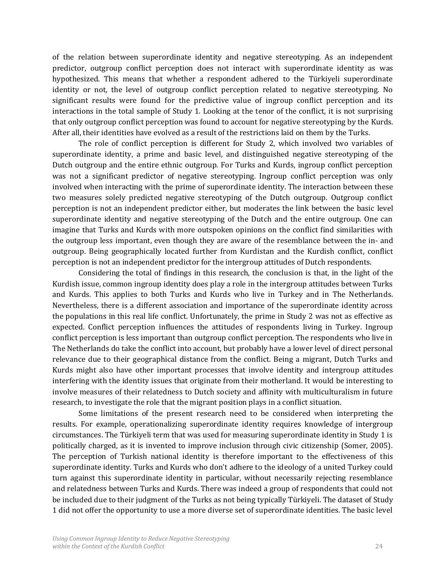of the relation between superordinate identity and negative stereotyping. As an independent predictor, outgroup conflict perception does not interact with superordinate identity as was hypothesized. This means that whether a respondent adhered to the Türkiyeli superordinate identity or not, the level of outgroup conflict perception related to negative stereotyping. No significant results were found for the predictive value of ingroup conflict perception and its interactions in the total sample of Study 1. Looking at the tenor of the conflict, it is not surprising that only outgroup conflict perception was found to account for negative stereotyping by the Kurds. After all, their identities have evolved as a result of the restrictions laid on them by the Turks.

The role of conflict perception is different for Study 2, which involved two variables of superordinate identity, a prime and basic level, and distinguished negative stereotyping of the Dutch outgroup and the entire ethnic outgroup. For Turks and Kurds, ingroup conflict perception was not a significant predictor of negative stereotyping. Ingroup conflict perception was only involved when interacting with the prime of superordinate identity. The interaction between these two measures solely predicted negative stereotyping of the Dutch outgroup. Outgroup conflict perception is not an independent predictor either, but moderates the link between the basic level superordinate identity and negative stereotyping of the Dutch and the entire outgroup. One can imagine that Turks and Kurds with more outspoken opinions on the conflict find similarities with the outgroup less important, even though they are aware of the resemblance between the in- and outgroup. Being geographically located further from Kurdistan and the Kurdish conflict, conflict perception is not an independent predictor for the intergroup attitudes of Dutch respondents.

Considering the total of findings in this research, the conclusion is that, in the light of the Kurdish issue, common ingroup identity does play a role in the intergroup attitudes between Turks and Kurds. This applies to both Turks and Kurds who live in Turkey and in The Netherlands. Nevertheless, there is a different association and importance of the superordinate identity across the populations in this real life conflict. Unfortunately, the prime in Study 2 was not as effective as expected. Conflict perception influences the attitudes of respondents living in Turkey. Ingroup conflict perception is less important than outgroup conflict perception. The respondents who live in The Netherlands do take the conflict into account, but probably have a lower level of direct personal relevance due to their geographical distance from the conflict. Being a migrant, Dutch Turks and Kurds might also have other important processes that involve identity and intergroup attitudes interfering with the identity issues that originate from their motherland. It would be interesting to involve measures of their relatedness to Dutch society and affinity with multiculturalism in future research, to investigate the role that the migrant position plays in a conflict situation.

Some limitations of the present research need to be considered when interpreting the results. For example, operationalizing superordinate identity requires knowledge of intergroup circumstances. The Türkiyeli term that was used for measuring superordinate identity in Study 1 is politically charged, as it is invented to improve inclusion through civic citizenship (Somer, 2005). The perception of Turkish national identity is therefore important to the effectiveness of this superordinate identity. Turks and Kurds who don't adhere to the ideology of a united Turkey could turn against this superordinate identity in particular, without necessarily rejecting resemblance and relatedness between Turks and Kurds. There was indeed a group of respondents that could not be included due to their judgment of the Turks as not being typically Türkiyeli. The dataset of Study 1 did not offer the opportunity to use a more diverse set of superordinate identities. The basic level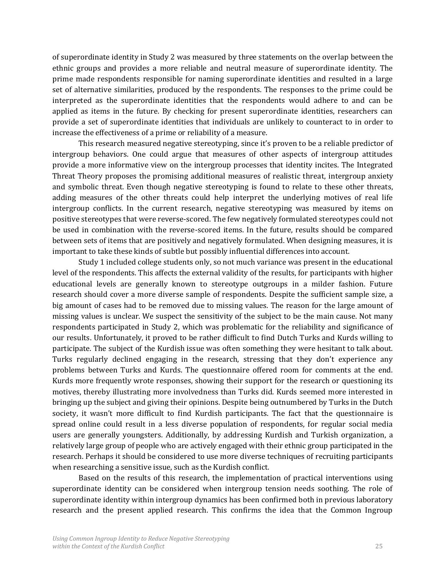of superordinate identity in Study 2 was measured by three statements on the overlap between the ethnic groups and provides a more reliable and neutral measure of superordinate identity. The prime made respondents responsible for naming superordinate identities and resulted in a large set of alternative similarities, produced by the respondents. The responses to the prime could be interpreted as the superordinate identities that the respondents would adhere to and can be applied as items in the future. By checking for present superordinate identities, researchers can provide a set of superordinate identities that individuals are unlikely to counteract to in order to increase the effectiveness of a prime or reliability of a measure.

This research measured negative stereotyping, since it's proven to be a reliable predictor of intergroup behaviors. One could argue that measures of other aspects of intergroup attitudes provide a more informative view on the intergroup processes that identity incites. The Integrated Threat Theory proposes the promising additional measures of realistic threat, intergroup anxiety and symbolic threat. Even though negative stereotyping is found to relate to these other threats, adding measures of the other threats could help interpret the underlying motives of real life intergroup conflicts. In the current research, negative stereotyping was measured by items on positive stereotypes that were reverse-scored. The few negatively formulated stereotypes could not be used in combination with the reverse-scored items. In the future, results should be compared between sets of items that are positively and negatively formulated. When designing measures, it is important to take these kinds of subtle but possibly influential differences into account.

Study 1 included college students only, so not much variance was present in the educational level of the respondents. This affects the external validity of the results, for participants with higher educational levels are generally known to stereotype outgroups in a milder fashion. Future research should cover a more diverse sample of respondents. Despite the sufficient sample size, a big amount of cases had to be removed due to missing values. The reason for the large amount of missing values is unclear. We suspect the sensitivity of the subject to be the main cause. Not many respondents participated in Study 2, which was problematic for the reliability and significance of our results. Unfortunately, it proved to be rather difficult to find Dutch Turks and Kurds willing to participate. The subject of the Kurdish issue was often something they were hesitant to talk about. Turks regularly declined engaging in the research, stressing that they don't experience any problems between Turks and Kurds. The questionnaire offered room for comments at the end. Kurds more frequently wrote responses, showing their support for the research or questioning its motives, thereby illustrating more involvedness than Turks did. Kurds seemed more interested in bringing up the subject and giving their opinions. Despite being outnumbered by Turks in the Dutch society, it wasn't more difficult to find Kurdish participants. The fact that the questionnaire is spread online could result in a less diverse population of respondents, for regular social media users are generally youngsters. Additionally, by addressing Kurdish and Turkish organization, a relatively large group of people who are actively engaged with their ethnic group participated in the research. Perhaps it should be considered to use more diverse techniques of recruiting participants when researching a sensitive issue, such as the Kurdish conflict.

Based on the results of this research, the implementation of practical interventions using superordinate identity can be considered when intergroup tension needs soothing. The role of superordinate identity within intergroup dynamics has been confirmed both in previous laboratory research and the present applied research. This confirms the idea that the Common Ingroup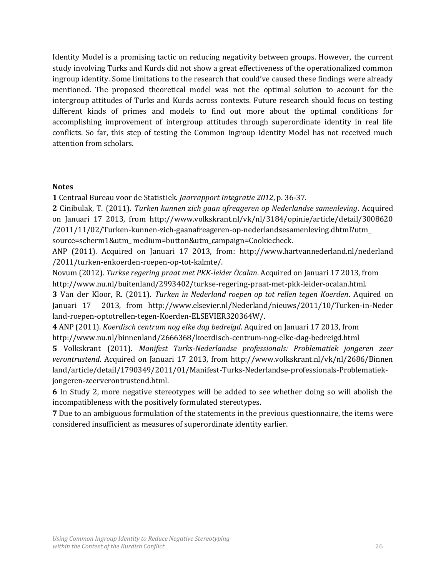Identity Model is a promising tactic on reducing negativity between groups. However, the current study involving Turks and Kurds did not show a great effectiveness of the operationalized common ingroup identity. Some limitations to the research that could've caused these findings were already mentioned. The proposed theoretical model was not the optimal solution to account for the intergroup attitudes of Turks and Kurds across contexts. Future research should focus on testing different kinds of primes and models to find out more about the optimal conditions for accomplishing improvement of intergroup attitudes through superordinate identity in real life conflicts. So far, this step of testing the Common Ingroup Identity Model has not received much attention from scholars.

#### **Notes**

**1** Centraal Bureau voor de Statistiek. *Jaarrapport Integratie 2012*, p. 36-37.

**2** Cinibulak, T. (2011). *Turken kunnen zich gaan afreageren op Nederlandse samenleving*. Acquired on Januari 17 2013, from http://www.volkskrant.nl/vk/nl/3184/opinie/article/detail/3008620 /2011/11/02/Turken-kunnen-zich-gaanafreageren-op-nederlandsesamenleving.dhtml?utm\_ source=scherm1&utm\_ medium=button&utm\_campaign=Cookiecheck.

ANP (2011). Acquired on Januari 17 2013, from: http://www.hartvannederland.nl/nederland /2011/turken-enkoerden-roepen-op-tot-kalmte/.

Novum (2012). *Turkse regering praat met PKK-leider Öcalan*. Acquired on Januari 17 2013, from http://www.nu.nl/buitenland/2993402/turkse-regering-praat-met-pkk-leider-ocalan.html.

**3** Van der Kloor, R. (2011). *Turken in Nederland roepen op tot rellen tegen Koerden*. Aquired on Januari 17 2013, from http://www.elsevier.nl/Nederland/nieuws/2011/10/Turken-in-Neder land-roepen-optotrellen-tegen-Koerden-ELSEVIER320364W/.

**4** ANP (2011). *Koerdisch centrum nog elke dag bedreigd*. Aquired on Januari 17 2013, from http://www.nu.nl/binnenland/2666368/koerdisch-centrum-nog-elke-dag-bedreigd.html

**5** Volkskrant (2011). *Manifest Turks-Nederlandse professionals: Problematiek jongeren zeer verontrustend*. Acquired on Januari 17 2013, from http://www.volkskrant.nl/vk/nl/2686/Binnen land/article/detail/1790349/2011/01/Manifest-Turks-Nederlandse-professionals-Problematiekjongeren-zeerverontrustend.html.

**6** In Study 2, more negative stereotypes will be added to see whether doing so will abolish the incompatibleness with the positively formulated stereotypes.

**7** Due to an ambiguous formulation of the statements in the previous questionnaire, the items were considered insufficient as measures of superordinate identity earlier.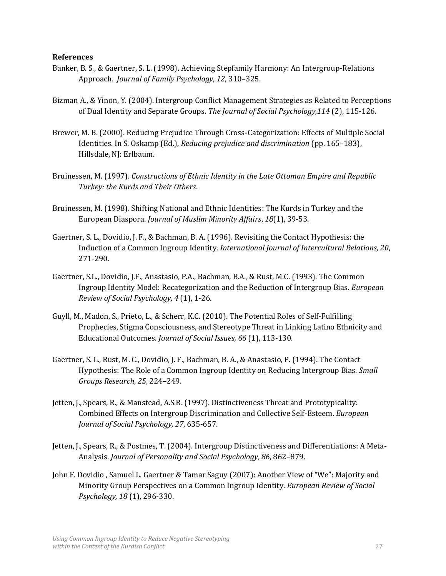#### **References**

- Banker, B. S., & Gaertner, S. L. (1998). Achieving Stepfamily Harmony: An Intergroup-Relations Approach. *Journal of Family Psychology*, *12*, 310–325.
- Bizman A., & Yinon, Y. (2004). Intergroup Conflict Management Strategies as Related to Perceptions of Dual Identity and Separate Groups. *The Journal of Social Psychology,114* (2), 115-126.
- Brewer, M. B. (2000). Reducing Prejudice Through Cross-Categorization: Effects of Multiple Social Identities. In S. Oskamp (Ed.), *Reducing prejudice and discrimination* (pp. 165–183), Hillsdale, NJ: Erlbaum.
- Bruinessen, M. (1997). *Constructions of Ethnic Identity in the Late Ottoman Empire and Republic Turkey: the Kurds and Their Others*.
- Bruinessen, M. (1998). Shifting National and Ethnic Identities: The Kurds in Turkey and the European Diaspora. *Journal of Muslim Minority Affairs*, *18*(1), 39-53.
- Gaertner, S. L., Dovidio, J. F., & Bachman, B. A. (1996). Revisiting the Contact Hypothesis: the Induction of a Common Ingroup Identity. *International Journal of Intercultural Relations, 20*, 271-290.
- Gaertner, S.L., Dovidio, J.F., Anastasio, P.A., Bachman, B.A., & Rust, M.C. (1993). The Common Ingroup Identity Model: Recategorization and the Reduction of Intergroup Bias. *European Review of Social Psychology, 4* (1), 1-26.
- Guyll, M., Madon, S., Prieto, L., & Scherr, K.C. (2010). The Potential Roles of Self-Fulfilling Prophecies, Stigma Consciousness, and Stereotype Threat in Linking Latino Ethnicity and Educational Outcomes. *Journal of Social Issues, 66* (1), 113-130.
- Gaertner, S. L., Rust, M. C., Dovidio, J. F., Bachman, B. A., & Anastasio, P. (1994). The Contact Hypothesis: The Role of a Common Ingroup Identity on Reducing Intergroup Bias. *Small Groups Research*, *25*, 224–249.
- Jetten, J., Spears, R., & Manstead, A.S.R. (1997). Distinctiveness Threat and Prototypicality: Combined Effects on Intergroup Discrimination and Collective Self-Esteem. *European Journal of Social Psychology, 27*, 635-657.
- Jetten, J., Spears, R., & Postmes, T. (2004). Intergroup Distinctiveness and Differentiations: A Meta-Analysis. *Journal of Personality and Social Psychology*, *86*, 862–879.
- John F. Dovidio , Samuel L. Gaertner & Tamar Saguy (2007): Another View of "We": Majority and Minority Group Perspectives on a Common Ingroup Identity. *European Review of Social Psychology, 18* (1), 296-330.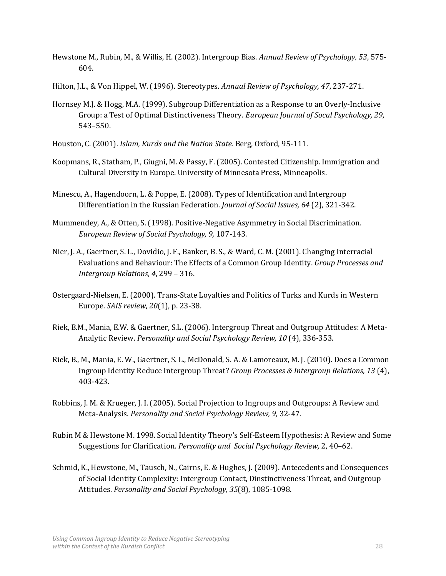- Hewstone M., Rubin, M., & Willis, H. (2002). Intergroup Bias. *Annual Review of Psychology, 53*, 575- 604.
- Hilton, J.L., & Von Hippel, W. (1996). Stereotypes. *Annual Review of Psychology, 47*, 237-271.
- Hornsey M.J. & Hogg, M.A. (1999). Subgroup Differentiation as a Response to an Overly-Inclusive Group: a Test of Optimal Distinctiveness Theory. *European Journal of Socal Psychology, 29*, 543–550.
- Houston, C. (2001). *Islam, Kurds and the Nation State*. Berg, Oxford, 95-111.
- Koopmans, R., Statham, P., Giugni, M. & Passy, F. (2005). Contested Citizenship. Immigration and Cultural Diversity in Europe. University of Minnesota Press, Minneapolis.
- Minescu, A., Hagendoorn, L. & Poppe, E. (2008). Types of Identification and Intergroup Differentiation in the Russian Federation. *Journal of Social Issues, 64* (2), 321-342.
- Mummendey, A., & Otten, S. (1998). Positive-Negative Asymmetry in Social Discrimination. *European Review of Social Psychology, 9,* 107-143.
- Nier, J. A., Gaertner, S. L., Dovidio, J. F., Banker, B. S., & Ward, C. M. (2001). Changing Interracial Evaluations and Behaviour: The Effects of a Common Group Identity. *Group Processes and Intergroup Relations, 4*, 299 – 316.
- Ostergaard-Nielsen, E. (2000). Trans-State Loyalties and Politics of Turks and Kurds in Western Europe. *SAIS review*, *20*(1), p. 23-38.
- Riek, B.M., Mania, E.W. & Gaertner, S.L. (2006). Intergroup Threat and Outgroup Attitudes: A Meta-Analytic Review. *Personality and Social Psychology Review, 10* (4), 336-353.
- Riek, B., M., Mania, E. W., Gaertner, S. L., McDonald, S. A. & Lamoreaux, M. J. (2010). Does a Common Ingroup Identity Reduce Intergroup Threat? *Group Processes & Intergroup Relations, 13* (4), 403-423.
- Robbins, J. M. & Krueger, J. I. (2005). Social Projection to Ingroups and Outgroups: A Review and Meta-Analysis. *Personality and Social Psychology Review, 9,* 32-47.
- Rubin M & Hewstone M. 1998. Social Identity Theory's Self-Esteem Hypothesis: A Review and Some Suggestions for Clarification. *Personality and Social Psychology Review,* 2, 40–62.
- Schmid, K., Hewstone, M., Tausch, N., Cairns, E. & Hughes, J. (2009). Antecedents and Consequences of Social Identity Complexity: Intergroup Contact, Dinstinctiveness Threat, and Outgroup Attitudes. *Personality and Social Psychology, 35*(8), 1085-1098.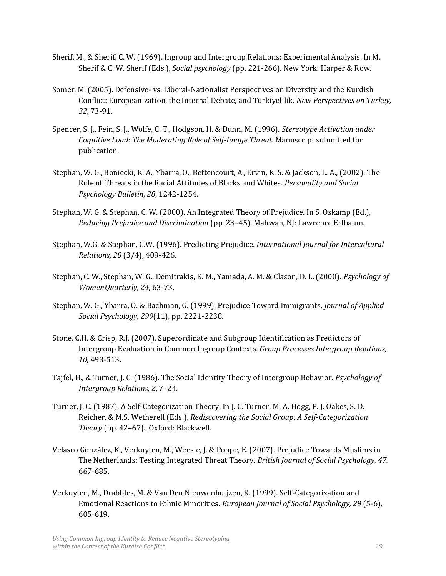- Sherif, M., & Sherif, C. W. (1969). Ingroup and Intergroup Relations: Experimental Analysis. In M. Sherif & C. W. Sherif (Eds.), *Social psychology* (pp. 221-266). New York: Harper & Row.
- Somer, M. (2005). Defensive- vs. Liberal-Nationalist Perspectives on Diversity and the Kurdish Conflict: Europeanization, the Internal Debate, and Türkiyelilik. *New Perspectives on Turkey, 32*, 73-91.
- Spencer, S. J., Fein, S. J., Wolfe, C. T., Hodgson, H. & Dunn, M. (1996). *Stereotype Activation under Cognitive Load: The Moderating Role of Self-Image Threat*. Manuscript submitted for publication.
- Stephan, W. G., Boniecki, K. A., Ybarra, O., Bettencourt, A., Ervin, K. S. & Jackson, L. A., (2002). The Role of Threats in the Racial Attitudes of Blacks and Whites. *Personality and Social Psychology Bulletin, 28*, 1242-1254.
- Stephan, W. G. & Stephan, C. W. (2000). An Integrated Theory of Prejudice. In S. Oskamp (Ed.), *Reducing Prejudice and Discrimination* (pp. 23–45). Mahwah, NJ: Lawrence Erlbaum.
- Stephan, W.G. & Stephan, C.W. (1996). Predicting Prejudice. *International Journal for Intercultural Relations, 20* (3/4), 409-426.
- Stephan, C. W., Stephan, W. G., Demitrakis, K. M., Yamada, A. M. & Clason, D. L. (2000). *Psychology of WomenQuarterly, 24*, 63-73.
- Stephan, W. G., Ybarra, O. & Bachman, G. (1999). Prejudice Toward Immigrants, *Journal of Applied Social Psychology*, *299*(11), pp. 2221-2238.
- Stone, C.H. & Crisp, R.J. (2007). Superordinate and Subgroup Identification as Predictors of Intergroup Evaluation in Common Ingroup Contexts. *Group Processes Intergroup Relations, 10*, 493-513.
- Tajfel, H., & Turner, J. C. (1986). The Social Identity Theory of Intergroup Behavior. *Psychology of Intergroup Relations, 2*, 7–24.
- Turner, J. C. (1987). A Self-Categorization Theory. In J. C. Turner, M. A. Hogg, P. J. Oakes, S. D. Reicher, & M.S. Wetherell (Eds.), *Rediscovering the Social Group: A Self-Categorization Theory* (pp. 42–67). Oxford: Blackwell.
- Velasco González, K., Verkuyten, M., Weesie, J. & Poppe, E. (2007). Prejudice Towards Muslims in The Netherlands: Testing Integrated Threat Theory. *British Journal of Social Psychology, 47,*  667-685.
- Verkuyten, M., Drabbles, M. & Van Den Nieuwenhuijzen, K. (1999). Self-Categorization and Emotional Reactions to Ethnic Minorities. *European Journal of Social Psychology, 29* (5-6), 605-619.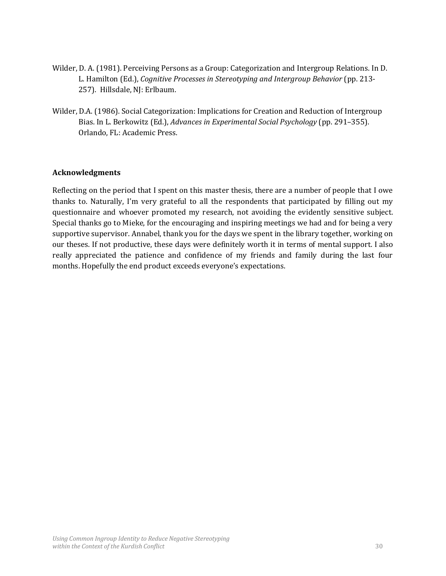- Wilder, D. A. (1981). Perceiving Persons as a Group: Categorization and Intergroup Relations. In D. L. Hamilton (Ed.), *Cognitive Processes in Stereotyping and Intergroup Behavior* (pp. 213- 257). Hillsdale, NJ: Erlbaum.
- Wilder, D.A. (1986). Social Categorization: Implications for Creation and Reduction of Intergroup Bias. In L. Berkowitz (Ed.), *Advances in Experimental Social Psychology* (pp. 291–355). Orlando, FL: Academic Press.

## **Acknowledgments**

Reflecting on the period that I spent on this master thesis, there are a number of people that I owe thanks to. Naturally, I'm very grateful to all the respondents that participated by filling out my questionnaire and whoever promoted my research, not avoiding the evidently sensitive subject. Special thanks go to Mieke, for the encouraging and inspiring meetings we had and for being a very supportive supervisor. Annabel, thank you for the days we spent in the library together, working on our theses. If not productive, these days were definitely worth it in terms of mental support. I also really appreciated the patience and confidence of my friends and family during the last four months. Hopefully the end product exceeds everyone's expectations.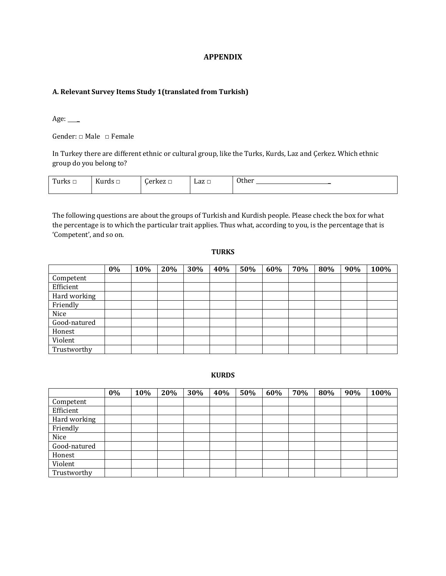#### **A. Relevant Survey Items Study 1(translated from Turkish)**

Age:  $\qquad$ 

Gender: □ Male □ Female

In Turkey there are different ethnic or cultural group, like the Turks, Kurds, Laz and Çerkez. Which ethnic group do you belong to?

| $\sim$<br>n d<br>. | $\mathbf{r}$<br>Kurds $\Box$ | ⌒<br>arlzoz | Laz □ | <b>Other</b><br>__ |
|--------------------|------------------------------|-------------|-------|--------------------|
|                    |                              |             |       |                    |

The following questions are about the groups of Turkish and Kurdish people. Please check the box for what the percentage is to which the particular trait applies. Thus what, according to you, is the percentage that is 'Competent', and so on.

#### **TURKS**

|              | $0\%$ | 10% | 20% | 30% | 40% | 50% | 60% | 70% | 80% | 90% | 100% |
|--------------|-------|-----|-----|-----|-----|-----|-----|-----|-----|-----|------|
| Competent    |       |     |     |     |     |     |     |     |     |     |      |
| Efficient    |       |     |     |     |     |     |     |     |     |     |      |
| Hard working |       |     |     |     |     |     |     |     |     |     |      |
| Friendly     |       |     |     |     |     |     |     |     |     |     |      |
| Nice         |       |     |     |     |     |     |     |     |     |     |      |
| Good-natured |       |     |     |     |     |     |     |     |     |     |      |
| Honest       |       |     |     |     |     |     |     |     |     |     |      |
| Violent      |       |     |     |     |     |     |     |     |     |     |      |
| Trustworthy  |       |     |     |     |     |     |     |     |     |     |      |

#### **KURDS**

|              | $0\%$ | 10% | 20% | 30% | 40% | 50% | 60% | 70% | 80% | 90% | 100% |
|--------------|-------|-----|-----|-----|-----|-----|-----|-----|-----|-----|------|
| Competent    |       |     |     |     |     |     |     |     |     |     |      |
| Efficient    |       |     |     |     |     |     |     |     |     |     |      |
| Hard working |       |     |     |     |     |     |     |     |     |     |      |
| Friendly     |       |     |     |     |     |     |     |     |     |     |      |
| Nice         |       |     |     |     |     |     |     |     |     |     |      |
| Good-natured |       |     |     |     |     |     |     |     |     |     |      |
| Honest       |       |     |     |     |     |     |     |     |     |     |      |
| Violent      |       |     |     |     |     |     |     |     |     |     |      |
| Trustworthy  |       |     |     |     |     |     |     |     |     |     |      |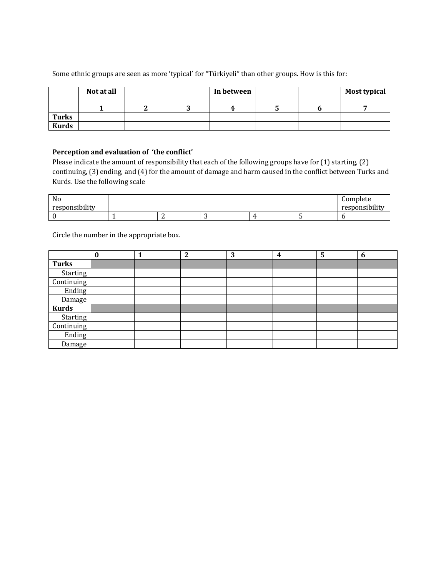|              | Not at all |  | In between |   | <b>Most typical</b> |
|--------------|------------|--|------------|---|---------------------|
|              |            |  | л          | ັ |                     |
| <b>Turks</b> |            |  |            |   |                     |
| <b>Kurds</b> |            |  |            |   |                     |

Some ethnic groups are seen as more 'typical' for "Türkiyeli" than other groups. How is this for:

#### **Perception and evaluation of 'the conflict'**

Please indicate the amount of responsibility that each of the following groups have for (1) starting, (2) continuing, (3) ending, and (4) for the amount of damage and harm caused in the conflict between Turks and Kurds. Use the following scale

| No<br>responsibility |  |   |  | Complete<br>responsibility |
|----------------------|--|---|--|----------------------------|
|                      |  |   |  |                            |
|                      |  | ັ |  |                            |

Circle the number in the appropriate box.

|              | $\bf{0}$ | ּ | 3 | $\overline{\mathbf{4}}$ | 5 | 6 |
|--------------|----------|---|---|-------------------------|---|---|
| <b>Turks</b> |          |   |   |                         |   |   |
| Starting     |          |   |   |                         |   |   |
| Continuing   |          |   |   |                         |   |   |
| Ending       |          |   |   |                         |   |   |
| Damage       |          |   |   |                         |   |   |
| <b>Kurds</b> |          |   |   |                         |   |   |
| Starting     |          |   |   |                         |   |   |
| Continuing   |          |   |   |                         |   |   |
| Ending       |          |   |   |                         |   |   |
| Damage       |          |   |   |                         |   |   |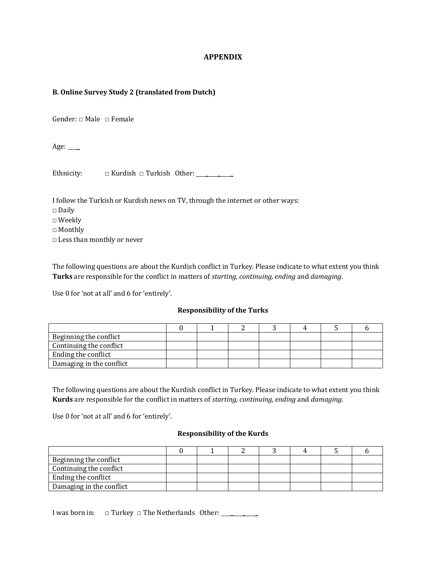#### **B. Online Survey Study 2 (translated from Dutch)**

Gender: □ Male □ Female

Age:  $\_\_$ 

Ethnicity:  $\Box$  Kurdish  $\Box$  Turkish Other:

I follow the Turkish or Kurdish news on TV, through the internet or other ways:

- □ Daily
- □ Weekly
- □ Monthly
- □ Less than monthly or never

The following questions are about the Kurdish conflict in Turkey. Please indicate to what extent you think **Turks** are responsible for the conflict in matters of *starting, continuing, ending* and *damaging*.

Use 0 for 'not at all' and 6 for 'entirely'.

#### **Responsibility of the Turks**

| Beginning the conflict   |  |  |  |  |
|--------------------------|--|--|--|--|
| Continuing the conflict  |  |  |  |  |
| Ending the conflict      |  |  |  |  |
| Damaging in the conflict |  |  |  |  |

The following questions are about the Kurdish conflict in Turkey. Please indicate to what extent you think **Kurds** are responsible for the conflict in matters of *starting, continuing, ending* and *damaging*.

Use 0 for 'not at all' and 6 for 'entirely'.

#### **Responsibility of the Kurds**

| Beginning the conflict   |  |  |  |  |
|--------------------------|--|--|--|--|
| Continuing the conflict  |  |  |  |  |
| Ending the conflict      |  |  |  |  |
| Damaging in the conflict |  |  |  |  |

I was born in: □ Turkey □ The Netherlands Other: \_\_\_\_\_\_\_\_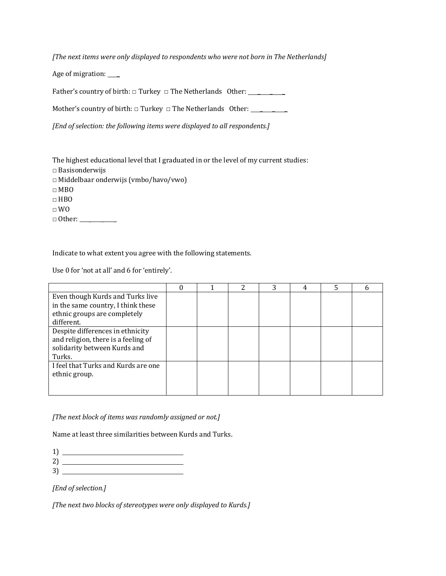*[The next items were only displayed to respondents who were not born in The Netherlands]*

Age of migration: \_\_\_\_

Father's country of birth: □ Turkey □ The Netherlands Other: \_ \_ \_

Mother's country of birth:  $\Box$  Turkey  $\Box$  The Netherlands Other: \_\_\_\_\_\_\_\_\_\_\_\_\_\_

*[End of selection: the following items were displayed to all respondents.]*

The highest educational level that I graduated in or the level of my current studies:

- □ Basisonderwijs
- □ Middelbaar onderwijs (vmbo/havo/vwo)
- □ MBO
- □ HBO
- □ WO

□ Other: \_ \_ \_

Indicate to what extent you agree with the following statements.

Use 0 for 'not at all' and 6 for 'entirely'.

|                                     |  | 2 | 3 | 4 | 5 |  |
|-------------------------------------|--|---|---|---|---|--|
| Even though Kurds and Turks live    |  |   |   |   |   |  |
| in the same country, I think these  |  |   |   |   |   |  |
| ethnic groups are completely        |  |   |   |   |   |  |
| different.                          |  |   |   |   |   |  |
| Despite differences in ethnicity    |  |   |   |   |   |  |
| and religion, there is a feeling of |  |   |   |   |   |  |
| solidarity between Kurds and        |  |   |   |   |   |  |
| Turks.                              |  |   |   |   |   |  |
| I feel that Turks and Kurds are one |  |   |   |   |   |  |
| ethnic group.                       |  |   |   |   |   |  |
|                                     |  |   |   |   |   |  |
|                                     |  |   |   |   |   |  |

*[The next block of items was randomly assigned or not.]*

Name at least three similarities between Kurds and Turks.

- 2)
- 3)

*[End of selection.]*

*[The next two blocks of stereotypes were only displayed to Kurds.]*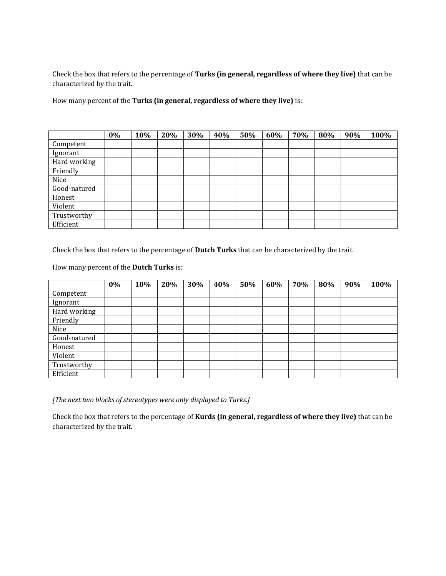Check the box that refers to the percentage of **Turks (in general, regardless of where they live)** that can be characterized by the trait.

How many percent of the **Turks (in general, regardless of where they live)** is:

|              | 0% | 10% | 20% | 30% | 40% | 50% | 60% | 70% | 80% | 90% | 100% |
|--------------|----|-----|-----|-----|-----|-----|-----|-----|-----|-----|------|
| Competent    |    |     |     |     |     |     |     |     |     |     |      |
| Ignorant     |    |     |     |     |     |     |     |     |     |     |      |
| Hard working |    |     |     |     |     |     |     |     |     |     |      |
| Friendly     |    |     |     |     |     |     |     |     |     |     |      |
| Nice         |    |     |     |     |     |     |     |     |     |     |      |
| Good-natured |    |     |     |     |     |     |     |     |     |     |      |
| Honest       |    |     |     |     |     |     |     |     |     |     |      |
| Violent      |    |     |     |     |     |     |     |     |     |     |      |
| Trustworthy  |    |     |     |     |     |     |     |     |     |     |      |
| Efficient    |    |     |     |     |     |     |     |     |     |     |      |

Check the box that refers to the percentage of **Dutch Turks** that can be characterized by the trait.

How many percent of the **Dutch Turks** is:

|              | 0% | 10% | 20% | 30% | 40% | 50% | 60% | 70% | 80% | 90% | 100% |
|--------------|----|-----|-----|-----|-----|-----|-----|-----|-----|-----|------|
| Competent    |    |     |     |     |     |     |     |     |     |     |      |
| Ignorant     |    |     |     |     |     |     |     |     |     |     |      |
| Hard working |    |     |     |     |     |     |     |     |     |     |      |
| Friendly     |    |     |     |     |     |     |     |     |     |     |      |
| Nice         |    |     |     |     |     |     |     |     |     |     |      |
| Good-natured |    |     |     |     |     |     |     |     |     |     |      |
| Honest       |    |     |     |     |     |     |     |     |     |     |      |
| Violent      |    |     |     |     |     |     |     |     |     |     |      |
| Trustworthy  |    |     |     |     |     |     |     |     |     |     |      |
| Efficient    |    |     |     |     |     |     |     |     |     |     |      |

*[The next two blocks of stereotypes were only displayed to Turks.]*

Check the box that refers to the percentage of **Kurds (in general, regardless of where they live)** that can be characterized by the trait.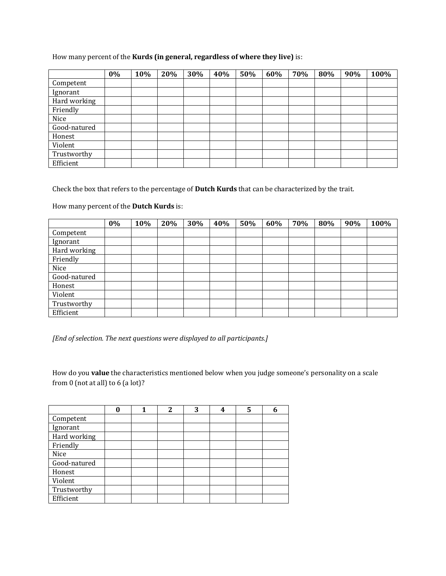#### How many percent of the **Kurds (in general, regardless of where they live)** is:

|              | 0% | 10% | 20% | 30% | 40% | 50% | 60% | 70% | 80% | 90% | 100% |
|--------------|----|-----|-----|-----|-----|-----|-----|-----|-----|-----|------|
| Competent    |    |     |     |     |     |     |     |     |     |     |      |
| Ignorant     |    |     |     |     |     |     |     |     |     |     |      |
| Hard working |    |     |     |     |     |     |     |     |     |     |      |
| Friendly     |    |     |     |     |     |     |     |     |     |     |      |
| Nice         |    |     |     |     |     |     |     |     |     |     |      |
| Good-natured |    |     |     |     |     |     |     |     |     |     |      |
| Honest       |    |     |     |     |     |     |     |     |     |     |      |
| Violent      |    |     |     |     |     |     |     |     |     |     |      |
| Trustworthy  |    |     |     |     |     |     |     |     |     |     |      |
| Efficient    |    |     |     |     |     |     |     |     |     |     |      |

Check the box that refers to the percentage of **Dutch Kurds** that can be characterized by the trait.

How many percent of the **Dutch Kurds** is:

|              | 0% | 10% | 20% | 30% | 40% | 50% | 60% | 70% | 80% | 90% | 100% |
|--------------|----|-----|-----|-----|-----|-----|-----|-----|-----|-----|------|
| Competent    |    |     |     |     |     |     |     |     |     |     |      |
| Ignorant     |    |     |     |     |     |     |     |     |     |     |      |
| Hard working |    |     |     |     |     |     |     |     |     |     |      |
| Friendly     |    |     |     |     |     |     |     |     |     |     |      |
| Nice         |    |     |     |     |     |     |     |     |     |     |      |
| Good-natured |    |     |     |     |     |     |     |     |     |     |      |
| Honest       |    |     |     |     |     |     |     |     |     |     |      |
| Violent      |    |     |     |     |     |     |     |     |     |     |      |
| Trustworthy  |    |     |     |     |     |     |     |     |     |     |      |
| Efficient    |    |     |     |     |     |     |     |     |     |     |      |

*[End of selection. The next questions were displayed to all participants.]*

How do you **value** the characteristics mentioned below when you judge someone's personality on a scale from 0 (not at all) to 6 (a lot)?

|              |  | 2 | 3 | 4 | 5 | h |
|--------------|--|---|---|---|---|---|
| Competent    |  |   |   |   |   |   |
| Ignorant     |  |   |   |   |   |   |
| Hard working |  |   |   |   |   |   |
| Friendly     |  |   |   |   |   |   |
| Nice         |  |   |   |   |   |   |
| Good-natured |  |   |   |   |   |   |
| Honest       |  |   |   |   |   |   |
| Violent      |  |   |   |   |   |   |
| Trustworthy  |  |   |   |   |   |   |
| Efficient    |  |   |   |   |   |   |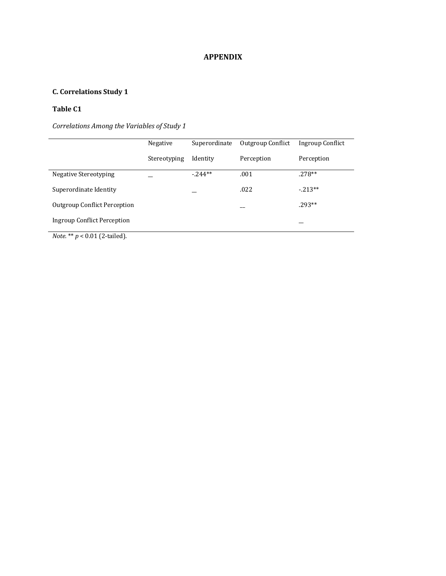# **C. Correlations Study 1**

# **Table C1**

*Correlations Among the Variables of Study 1*

|                                     | Negative     | Superordinate | Outgroup Conflict | Ingroup Conflict |
|-------------------------------------|--------------|---------------|-------------------|------------------|
|                                     | Stereotyping | Identity      | Perception        | Perception       |
| Negative Stereotyping               |              | $-244**$      | .001              | $.278**$         |
| Superordinate Identity              |              |               | .022              | $-213**$         |
| <b>Outgroup Conflict Perception</b> |              |               |                   | $.293**$         |
| Ingroup Conflict Perception         |              |               |                   |                  |

*Note.* \*\* *p* < 0.01 (2-tailed).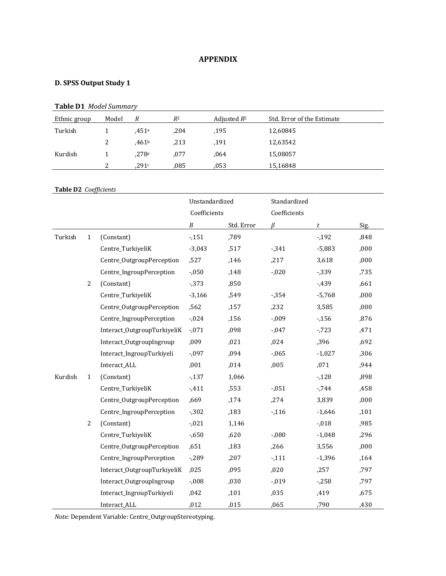# **D. SPSS Output Study 1**

# **Table D1** *Model Summary*

| Ethnic group | Model         | R     | $R^2$ | Adjusted $R^2$ | Std. Error of the Estimate |
|--------------|---------------|-------|-------|----------------|----------------------------|
| Turkish      |               | .451ª | ,204  | .195           | 12,60845                   |
|              | 2             | .461b | ,213  | .191           | 12,63542                   |
| Kurdish      |               | .278a | .077  | .064           | 15,08057                   |
|              | $\mathcal{D}$ | .291c | .085  | .053           | 15,16848                   |

#### **Table D2** *Coefficients*

|         |                |                             | Unstandardized   |            | Standardized |          |      |
|---------|----------------|-----------------------------|------------------|------------|--------------|----------|------|
|         |                |                             | Coefficients     |            | Coefficients |          |      |
|         |                |                             | $\boldsymbol{B}$ | Std. Error | ß            | t        | Sig. |
| Turkish | $\mathbf{1}$   | (Constant)                  | $-151$           | ,789       |              | $-192$   | ,848 |
|         |                | Centre_TurkiyeliK           | $-3,043$         | ,517       | $-0.341$     | $-5,883$ | ,000 |
|         |                | Centre_OutgroupPerception   | ,527             | ,146       | ,217         | 3,618    | ,000 |
|         |                | Centre_IngroupPerception    | $-0.050$         | ,148       | $-0.020$     | $-0.339$ | ,735 |
|         | $\overline{2}$ | (Constant)                  | $-0.373$         | ,850       |              | $-439$   | ,661 |
|         |                | Centre_TurkiyeliK           | $-3,166$         | ,549       | $-0.354$     | $-5,768$ | ,000 |
|         |                | Centre_OutgroupPerception   | ,562             | ,157       | ,232         | 3,585    | ,000 |
|         |                | Centre_IngroupPerception    | $-0.024$         | ,156       | $-0.09$      | $-156$   | ,876 |
|         |                | Interact_OutgroupTurkiyeliK | $-0.071$         | ,098       | $-0.047$     | $-723$   | ,471 |
|         |                | Interact_OutgroupIngroup    | ,009             | ,021       | ,024         | ,396     | ,692 |
|         |                | Interact_IngroupTurkiyeli   | $-0.097$         | ,094       | $-0.065$     | $-1,027$ | ,306 |
|         |                | Interact_ALL                | ,001             | ,014       | ,005         | ,071     | ,944 |
| Kurdish | $\mathbf{1}$   | (Constant)                  | $-137$           | 1,066      |              | $-128$   | ,898 |
|         |                | Centre_TurkiyeliK           | $-411$           | ,553       | $-0.051$     | $-744$   | ,458 |
|         |                | Centre_OutgroupPerception   | ,669             | ,174       | ,274         | 3,839    | ,000 |
|         |                | Centre_IngroupPerception    | $-0.302$         | ,183       | $-116$       | $-1,646$ | ,101 |
|         | $\overline{2}$ | (Constant)                  | $-0.021$         | 1,146      |              | $-0.018$ | ,985 |
|         |                | Centre_TurkiyeliK           | $-0.650$         | ,620       | $-0.080$     | $-1,048$ | ,296 |
|         |                | Centre_OutgroupPerception   | ,651             | ,183       | ,266         | 3,556    | ,000 |
|         |                | Centre_IngroupPerception    | $-289$           | ,207       | $-111$       | $-1,396$ | ,164 |
|         |                | Interact_OutgroupTurkiyeliK | ,025             | ,095       | ,020         | ,257     | ,797 |
|         |                | Interact_OutgroupIngroup    | $-0.008$         | ,030       | $-0.019$     | $-258$   | ,797 |
|         |                | Interact_IngroupTurkiyeli   | ,042             | ,101       | ,035         | ,419     | ,675 |
|         |                | Interact_ALL                | ,012             | ,015       | ,065         | ,790     | ,430 |

*Note:* Dependent Variable: Centre\_OutgroupStereotyping.